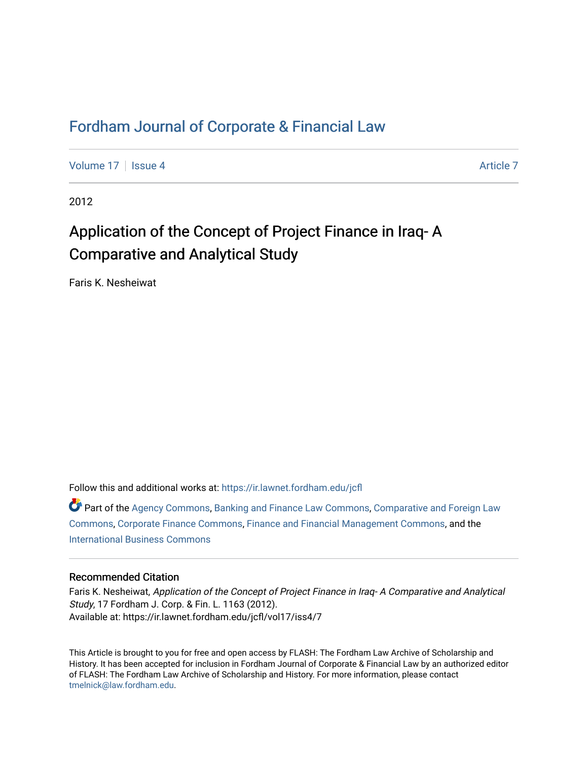# [Fordham Journal of Corporate & Financial Law](https://ir.lawnet.fordham.edu/jcfl)

[Volume 17](https://ir.lawnet.fordham.edu/jcfl/vol17) Setup 4 [Article 7](https://ir.lawnet.fordham.edu/jcfl/vol17/iss4/7) Article 7 Article 7

2012

# Application of the Concept of Project Finance in Iraq- A Comparative and Analytical Study

Faris K. Nesheiwat

Follow this and additional works at: [https://ir.lawnet.fordham.edu/jcfl](https://ir.lawnet.fordham.edu/jcfl?utm_source=ir.lawnet.fordham.edu%2Fjcfl%2Fvol17%2Fiss4%2F7&utm_medium=PDF&utm_campaign=PDFCoverPages) 

Part of the [Agency Commons,](http://network.bepress.com/hgg/discipline/829?utm_source=ir.lawnet.fordham.edu%2Fjcfl%2Fvol17%2Fiss4%2F7&utm_medium=PDF&utm_campaign=PDFCoverPages) [Banking and Finance Law Commons,](http://network.bepress.com/hgg/discipline/833?utm_source=ir.lawnet.fordham.edu%2Fjcfl%2Fvol17%2Fiss4%2F7&utm_medium=PDF&utm_campaign=PDFCoverPages) [Comparative and Foreign Law](http://network.bepress.com/hgg/discipline/836?utm_source=ir.lawnet.fordham.edu%2Fjcfl%2Fvol17%2Fiss4%2F7&utm_medium=PDF&utm_campaign=PDFCoverPages) [Commons](http://network.bepress.com/hgg/discipline/836?utm_source=ir.lawnet.fordham.edu%2Fjcfl%2Fvol17%2Fiss4%2F7&utm_medium=PDF&utm_campaign=PDFCoverPages), [Corporate Finance Commons,](http://network.bepress.com/hgg/discipline/629?utm_source=ir.lawnet.fordham.edu%2Fjcfl%2Fvol17%2Fiss4%2F7&utm_medium=PDF&utm_campaign=PDFCoverPages) [Finance and Financial Management Commons,](http://network.bepress.com/hgg/discipline/631?utm_source=ir.lawnet.fordham.edu%2Fjcfl%2Fvol17%2Fiss4%2F7&utm_medium=PDF&utm_campaign=PDFCoverPages) and the [International Business Commons](http://network.bepress.com/hgg/discipline/634?utm_source=ir.lawnet.fordham.edu%2Fjcfl%2Fvol17%2Fiss4%2F7&utm_medium=PDF&utm_campaign=PDFCoverPages)

# Recommended Citation

Faris K. Nesheiwat, Application of the Concept of Project Finance in Iraq- A Comparative and Analytical Study, 17 Fordham J. Corp. & Fin. L. 1163 (2012). Available at: https://ir.lawnet.fordham.edu/jcfl/vol17/iss4/7

This Article is brought to you for free and open access by FLASH: The Fordham Law Archive of Scholarship and History. It has been accepted for inclusion in Fordham Journal of Corporate & Financial Law by an authorized editor of FLASH: The Fordham Law Archive of Scholarship and History. For more information, please contact [tmelnick@law.fordham.edu](mailto:tmelnick@law.fordham.edu).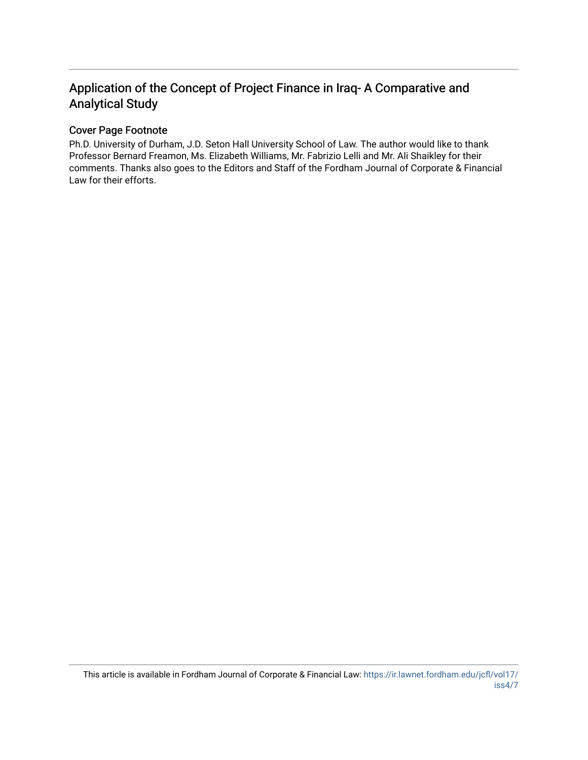# Application of the Concept of Project Finance in Iraq- A Comparative and Analytical Study

# Cover Page Footnote

Ph.D. University of Durham, J.D. Seton Hall University School of Law. The author would like to thank Professor Bernard Freamon, Ms. Elizabeth Williams, Mr. Fabrizio Lelli and Mr. Ali Shaikley for their comments. Thanks also goes to the Editors and Staff of the Fordham Journal of Corporate & Financial Law for their efforts.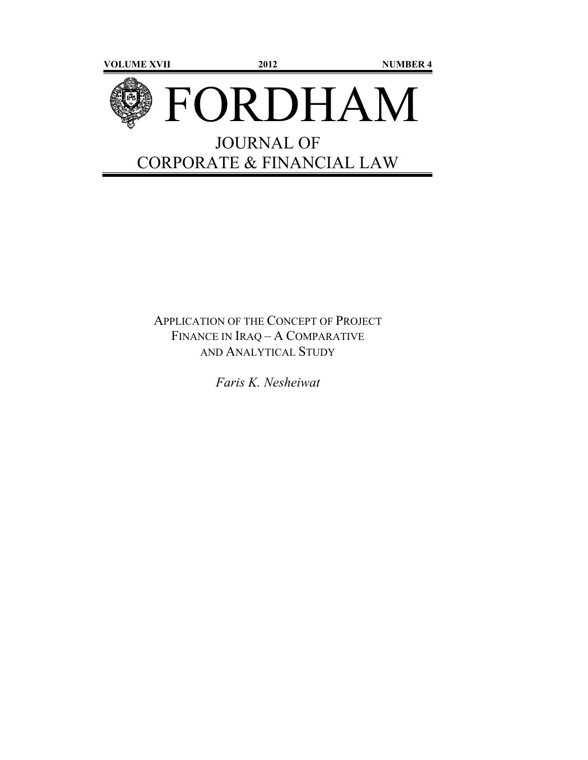

# APPLICATION OF THE CONCEPT OF PROJECT FINANCE IN IRAQ – A COMPARATIVE AND ANALYTICAL STUDY

*Faris K. Nesheiwat*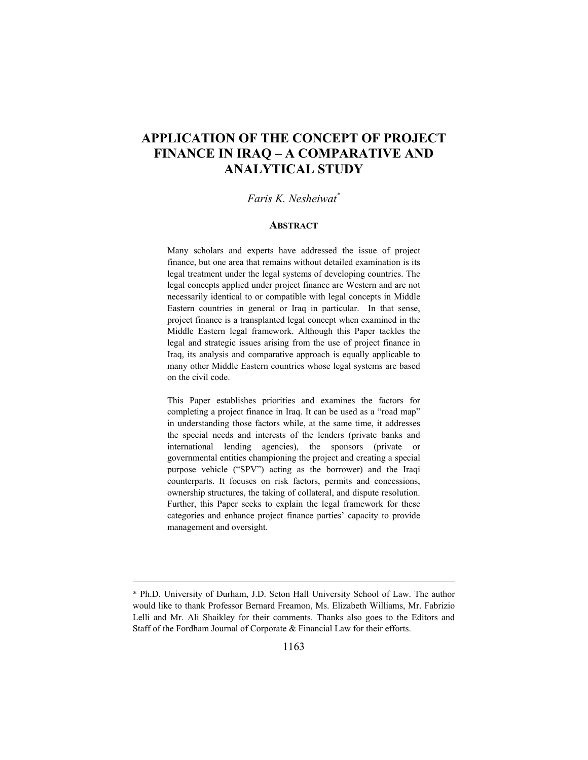# **APPLICATION OF THE CONCEPT OF PROJECT FINANCE IN IRAQ – A COMPARATIVE AND ANALYTICAL STUDY**

#### *Faris K. Nesheiwat\**

#### **ABSTRACT**

Many scholars and experts have addressed the issue of project finance, but one area that remains without detailed examination is its legal treatment under the legal systems of developing countries. The legal concepts applied under project finance are Western and are not necessarily identical to or compatible with legal concepts in Middle Eastern countries in general or Iraq in particular. In that sense, project finance is a transplanted legal concept when examined in the Middle Eastern legal framework. Although this Paper tackles the legal and strategic issues arising from the use of project finance in Iraq, its analysis and comparative approach is equally applicable to many other Middle Eastern countries whose legal systems are based on the civil code.

This Paper establishes priorities and examines the factors for completing a project finance in Iraq. It can be used as a "road map" in understanding those factors while, at the same time, it addresses the special needs and interests of the lenders (private banks and international lending agencies), the sponsors (private or governmental entities championing the project and creating a special purpose vehicle ("SPV") acting as the borrower) and the Iraqi counterparts. It focuses on risk factors, permits and concessions, ownership structures, the taking of collateral, and dispute resolution. Further, this Paper seeks to explain the legal framework for these categories and enhance project finance parties' capacity to provide management and oversight.

<sup>\*</sup> Ph.D. University of Durham, J.D. Seton Hall University School of Law. The author would like to thank Professor Bernard Freamon, Ms. Elizabeth Williams, Mr. Fabrizio Lelli and Mr. Ali Shaikley for their comments. Thanks also goes to the Editors and Staff of the Fordham Journal of Corporate & Financial Law for their efforts.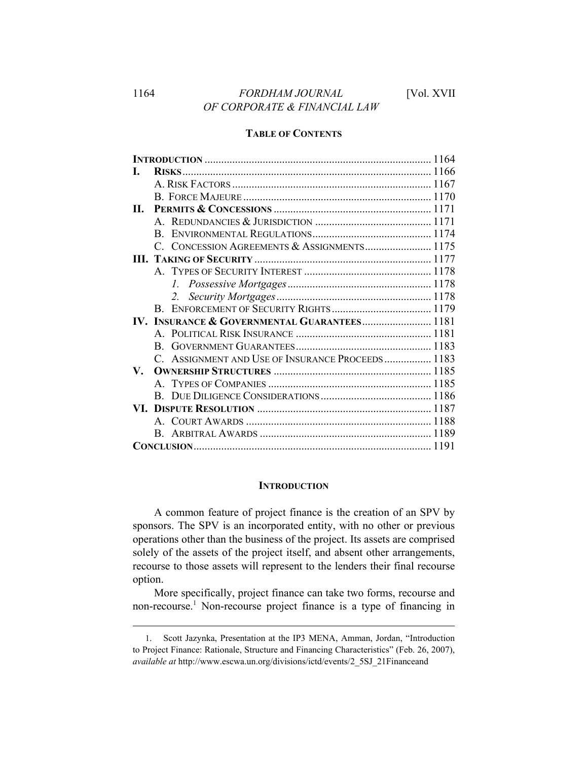# **TABLE OF CONTENTS**

| П.                                           |  |                                                                                                                 |
|----------------------------------------------|--|-----------------------------------------------------------------------------------------------------------------|
|                                              |  |                                                                                                                 |
|                                              |  |                                                                                                                 |
|                                              |  |                                                                                                                 |
|                                              |  |                                                                                                                 |
|                                              |  |                                                                                                                 |
|                                              |  |                                                                                                                 |
|                                              |  |                                                                                                                 |
|                                              |  |                                                                                                                 |
| IV. INSURANCE & GOVERNMENTAL GUARANTEES 1181 |  |                                                                                                                 |
|                                              |  |                                                                                                                 |
|                                              |  |                                                                                                                 |
|                                              |  |                                                                                                                 |
|                                              |  |                                                                                                                 |
|                                              |  |                                                                                                                 |
|                                              |  |                                                                                                                 |
|                                              |  |                                                                                                                 |
|                                              |  |                                                                                                                 |
|                                              |  |                                                                                                                 |
|                                              |  |                                                                                                                 |
|                                              |  | <b>RISKS</b><br>C. CONCESSION AGREEMENTS & ASSIGNMENTS 1175<br>C. ASSIGNMENT AND USE OF INSURANCE PROCEEDS 1183 |

### **INTRODUCTION**

A common feature of project finance is the creation of an SPV by sponsors. The SPV is an incorporated entity, with no other or previous operations other than the business of the project. Its assets are comprised solely of the assets of the project itself, and absent other arrangements, recourse to those assets will represent to the lenders their final recourse option.

More specifically, project finance can take two forms, recourse and non-recourse.<sup>1</sup> Non-recourse project finance is a type of financing in

<sup>1.</sup> Scott Jazynka, Presentation at the IP3 MENA, Amman, Jordan, "Introduction to Project Finance: Rationale, Structure and Financing Characteristics" (Feb. 26, 2007), *available at* http://www.escwa.un.org/divisions/ictd/events/2\_5SJ\_21Financeand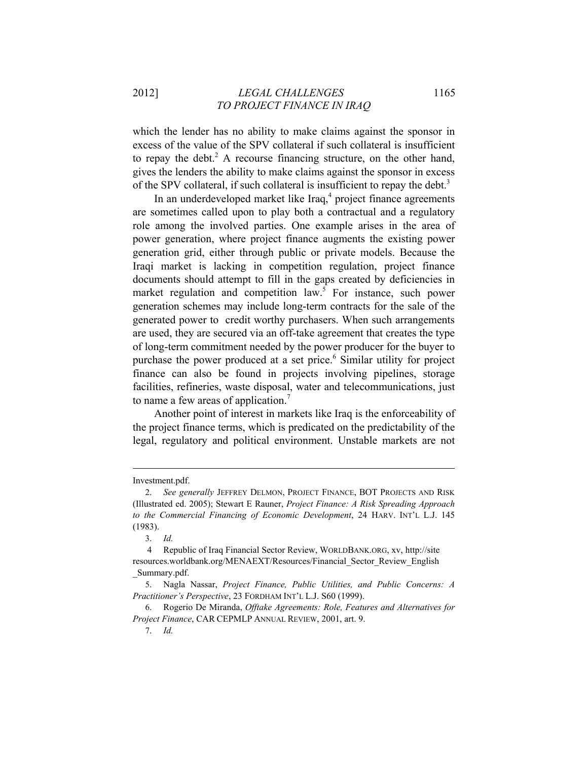# 2012] *LEGAL CHALLENGES* 1165 *TO PROJECT FINANCE IN IRAQ*

which the lender has no ability to make claims against the sponsor in excess of the value of the SPV collateral if such collateral is insufficient to repay the debt.<sup>2</sup> A recourse financing structure, on the other hand, gives the lenders the ability to make claims against the sponsor in excess of the SPV collateral, if such collateral is insufficient to repay the debt.<sup>3</sup>

In an underdeveloped market like Iraq,<sup>4</sup> project finance agreements are sometimes called upon to play both a contractual and a regulatory role among the involved parties. One example arises in the area of power generation, where project finance augments the existing power generation grid, either through public or private models. Because the Iraqi market is lacking in competition regulation, project finance documents should attempt to fill in the gaps created by deficiencies in market regulation and competition law.<sup>5</sup> For instance, such power generation schemes may include long-term contracts for the sale of the generated power to credit worthy purchasers. When such arrangements are used, they are secured via an off-take agreement that creates the type of long-term commitment needed by the power producer for the buyer to purchase the power produced at a set price.<sup>6</sup> Similar utility for project finance can also be found in projects involving pipelines, storage facilities, refineries, waste disposal, water and telecommunications, just to name a few areas of application.<sup>7</sup>

Another point of interest in markets like Iraq is the enforceability of the project finance terms, which is predicated on the predictability of the legal, regulatory and political environment. Unstable markets are not

Investment.pdf.

<sup>2.</sup> *See generally* JEFFREY DELMON, PROJECT FINANCE, BOT PROJECTS AND RISK (Illustrated ed. 2005); Stewart E Rauner, *Project Finance: A Risk Spreading Approach to the Commercial Financing of Economic Development*, 24 HARV. INT'L L.J. 145 (1983).

<sup>3.</sup> *Id.*

 <sup>4</sup> Republic of Iraq Financial Sector Review, WORLDBANK.ORG, xv, http://site resources.worldbank.org/MENAEXT/Resources/Financial\_Sector\_Review\_English \_Summary.pdf.

<sup>5.</sup> Nagla Nassar, *Project Finance, Public Utilities, and Public Concerns: A Practitioner's Perspective*, 23 FORDHAM INT'L L.J. S60 (1999).

<sup>6.</sup> Rogerio De Miranda, *Offtake Agreements: Role, Features and Alternatives for Project Finance*, CAR CEPMLP ANNUAL REVIEW, 2001, art. 9.

<sup>7.</sup> *Id.*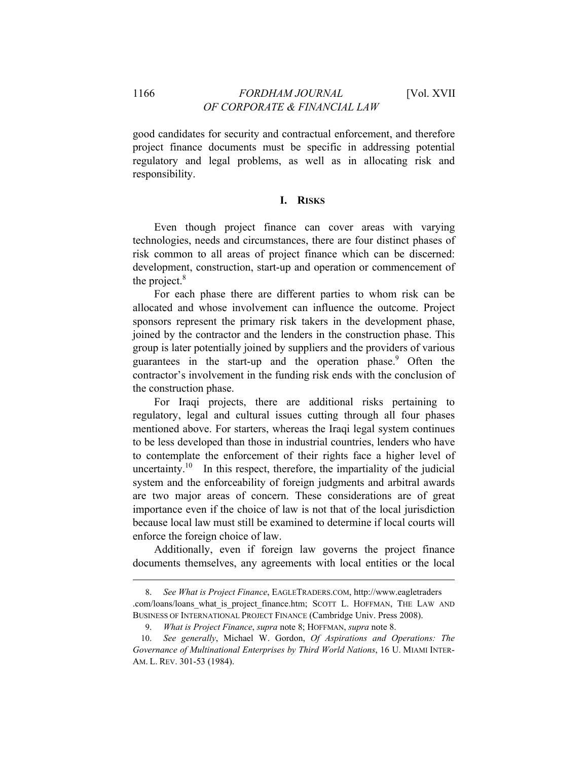good candidates for security and contractual enforcement, and therefore project finance documents must be specific in addressing potential regulatory and legal problems, as well as in allocating risk and responsibility.

# **I. RISKS**

Even though project finance can cover areas with varying technologies, needs and circumstances, there are four distinct phases of risk common to all areas of project finance which can be discerned: development, construction, start-up and operation or commencement of the project. $8$ 

For each phase there are different parties to whom risk can be allocated and whose involvement can influence the outcome. Project sponsors represent the primary risk takers in the development phase, joined by the contractor and the lenders in the construction phase. This group is later potentially joined by suppliers and the providers of various guarantees in the start-up and the operation phase.<sup>9</sup> Often the contractor's involvement in the funding risk ends with the conclusion of the construction phase.

For Iraqi projects, there are additional risks pertaining to regulatory, legal and cultural issues cutting through all four phases mentioned above. For starters, whereas the Iraqi legal system continues to be less developed than those in industrial countries, lenders who have to contemplate the enforcement of their rights face a higher level of uncertainty.<sup>10</sup> In this respect, therefore, the impartiality of the judicial system and the enforceability of foreign judgments and arbitral awards are two major areas of concern. These considerations are of great importance even if the choice of law is not that of the local jurisdiction because local law must still be examined to determine if local courts will enforce the foreign choice of law.

Additionally, even if foreign law governs the project finance documents themselves, any agreements with local entities or the local

<sup>8.</sup> *See What is Project Finance*, EAGLETRADERS.COM, http://www.eagletraders .com/loans/loans\_what\_is\_project\_finance.htm; SCOTT L. HOFFMAN, THE LAW AND BUSINESS OF INTERNATIONAL PROJECT FINANCE (Cambridge Univ. Press 2008).

<sup>9.</sup> *What is Project Finance*, *supra* note 8; HOFFMAN, *supra* note 8.

<sup>10.</sup> *See generally*, Michael W. Gordon, *Of Aspirations and Operations: The Governance of Multinational Enterprises by Third World Nations*, 16 U. MIAMI INTER-AM. L. REV. 301-53 (1984).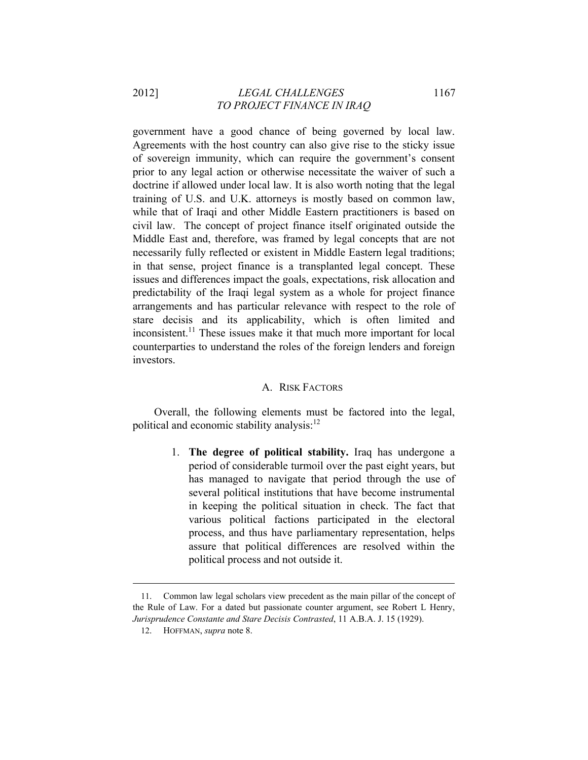# 2012] *LEGAL CHALLENGES* 1167 *TO PROJECT FINANCE IN IRAQ*

government have a good chance of being governed by local law. Agreements with the host country can also give rise to the sticky issue of sovereign immunity, which can require the government's consent prior to any legal action or otherwise necessitate the waiver of such a doctrine if allowed under local law. It is also worth noting that the legal training of U.S. and U.K. attorneys is mostly based on common law, while that of Iraqi and other Middle Eastern practitioners is based on civil law. The concept of project finance itself originated outside the Middle East and, therefore, was framed by legal concepts that are not necessarily fully reflected or existent in Middle Eastern legal traditions; in that sense, project finance is a transplanted legal concept. These issues and differences impact the goals, expectations, risk allocation and predictability of the Iraqi legal system as a whole for project finance arrangements and has particular relevance with respect to the role of stare decisis and its applicability, which is often limited and inconsistent.<sup>11</sup> These issues make it that much more important for local counterparties to understand the roles of the foreign lenders and foreign investors.

#### A. RISK FACTORS

Overall, the following elements must be factored into the legal, political and economic stability analysis:<sup>12</sup>

> 1. **The degree of political stability.** Iraq has undergone a period of considerable turmoil over the past eight years, but has managed to navigate that period through the use of several political institutions that have become instrumental in keeping the political situation in check. The fact that various political factions participated in the electoral process, and thus have parliamentary representation, helps assure that political differences are resolved within the political process and not outside it.

<sup>11.</sup> Common law legal scholars view precedent as the main pillar of the concept of the Rule of Law. For a dated but passionate counter argument, see Robert L Henry, *Jurisprudence Constante and Stare Decisis Contrasted*, 11 A.B.A. J. 15 (1929).

<sup>12.</sup> HOFFMAN, *supra* note 8.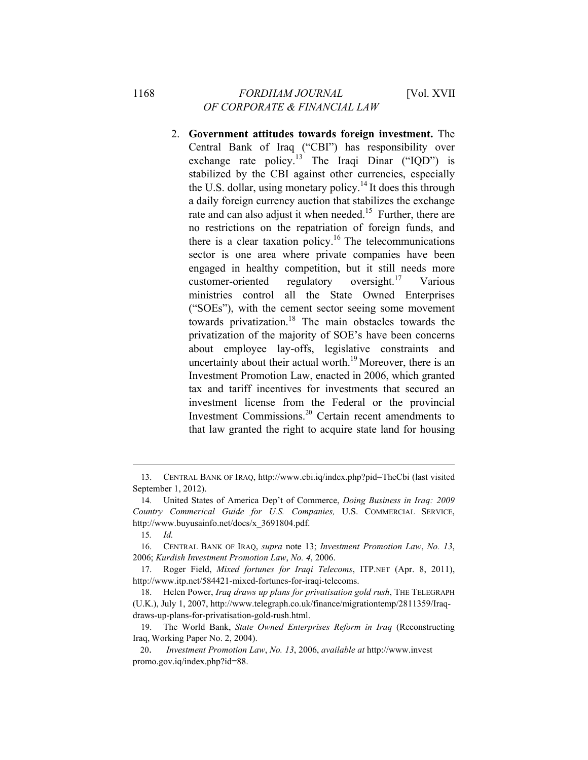2. **Government attitudes towards foreign investment.** The Central Bank of Iraq ("CBI") has responsibility over exchange rate policy.<sup>13</sup> The Iraqi Dinar ("IQD") is stabilized by the CBI against other currencies, especially the U.S. dollar, using monetary policy.<sup>14</sup> It does this through a daily foreign currency auction that stabilizes the exchange rate and can also adjust it when needed.<sup>15</sup> Further, there are no restrictions on the repatriation of foreign funds, and there is a clear taxation policy.<sup>16</sup> The telecommunications sector is one area where private companies have been engaged in healthy competition, but it still needs more customer-oriented regulatory oversight.<sup>17</sup> Various ministries control all the State Owned Enterprises ("SOEs"), with the cement sector seeing some movement towards privatization.<sup>18</sup> The main obstacles towards the privatization of the majority of SOE's have been concerns about employee lay-offs, legislative constraints and uncertainty about their actual worth.<sup>19</sup> Moreover, there is an Investment Promotion Law, enacted in 2006, which granted tax and tariff incentives for investments that secured an investment license from the Federal or the provincial Investment Commissions.20 Certain recent amendments to that law granted the right to acquire state land for housing

<sup>13.</sup> CENTRAL BANK OF IRAQ, http://www.cbi.iq/index.php?pid=TheCbi (last visited September 1, 2012).

<sup>14</sup>*.* United States of America Dep't of Commerce, *Doing Business in Iraq: 2009 Country Commerical Guide for U.S. Companies,* U.S. COMMERCIAL SERVICE, http://www.buyusainfo.net/docs/x\_3691804.pdf.

<sup>15</sup>*. Id.*

<sup>16.</sup> CENTRAL BANK OF IRAQ, *supra* note 13; *Investment Promotion Law*, *No. 13*, 2006; *Kurdish Investment Promotion Law*, *No. 4*, 2006.

<sup>17.</sup> Roger Field, *Mixed fortunes for Iraqi Telecoms*, ITP.NET (Apr. 8, 2011), http://www.itp.net/584421-mixed-fortunes-for-iraqi-telecoms.

<sup>18.</sup> Helen Power, *Iraq draws up plans for privatisation gold rush*, THE TELEGRAPH (U.K.), July 1, 2007, http://www.telegraph.co.uk/finance/migrationtemp/2811359/Iraqdraws-up-plans-for-privatisation-gold-rush.html.

<sup>19.</sup> The World Bank, *State Owned Enterprises Reform in Iraq* (Reconstructing Iraq, Working Paper No. 2, 2004).

<sup>20.</sup> *Investment Promotion Law*, *No. 13*, 2006, *available at* http://www.invest promo.gov.iq/index.php?id=88.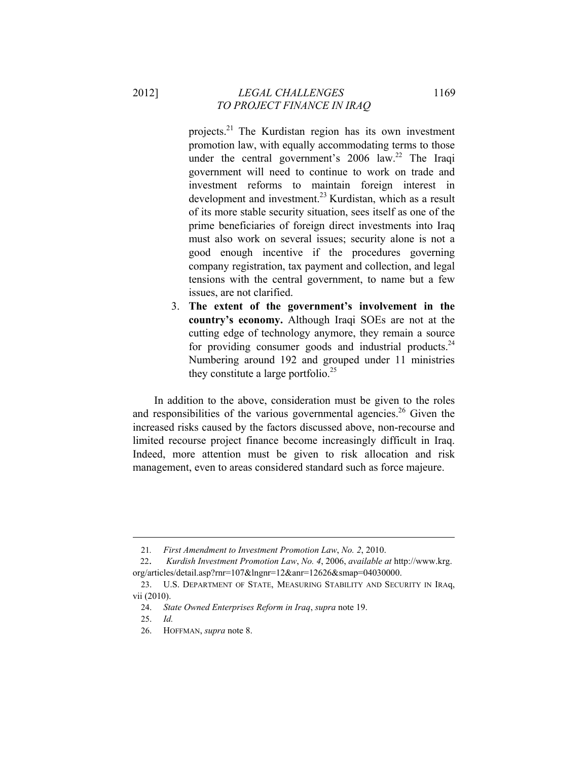projects.21 The Kurdistan region has its own investment promotion law, with equally accommodating terms to those under the central government's  $2006$  law.<sup>22</sup> The Iraqi government will need to continue to work on trade and investment reforms to maintain foreign interest in development and investment.<sup>23</sup> Kurdistan, which as a result of its more stable security situation, sees itself as one of the prime beneficiaries of foreign direct investments into Iraq must also work on several issues; security alone is not a good enough incentive if the procedures governing company registration, tax payment and collection, and legal tensions with the central government, to name but a few issues, are not clarified.

3. **The extent of the government's involvement in the country's economy.** Although Iraqi SOEs are not at the cutting edge of technology anymore, they remain a source for providing consumer goods and industrial products. $24$ Numbering around 192 and grouped under 11 ministries they constitute a large portfolio. $^{25}$ 

In addition to the above, consideration must be given to the roles and responsibilities of the various governmental agencies.<sup>26</sup> Given the increased risks caused by the factors discussed above, non-recourse and limited recourse project finance become increasingly difficult in Iraq. Indeed, more attention must be given to risk allocation and risk management, even to areas considered standard such as force majeure.

<sup>21</sup>*. First Amendment to Investment Promotion Law*, *No. 2*, 2010.

<sup>22.</sup> *Kurdish Investment Promotion Law*, *No. 4*, 2006, *available at* http://www.krg. org/articles/detail.asp?rnr=107&lngnr=12&anr=12626&smap=04030000.

<sup>23.</sup> U.S. DEPARTMENT OF STATE, MEASURING STABILITY AND SECURITY IN IRAq, vii (2010).

<sup>24.</sup> *State Owned Enterprises Reform in Iraq*, *supra* note 19.

<sup>25.</sup> *Id.*

<sup>26.</sup> HOFFMAN, *supra* note 8.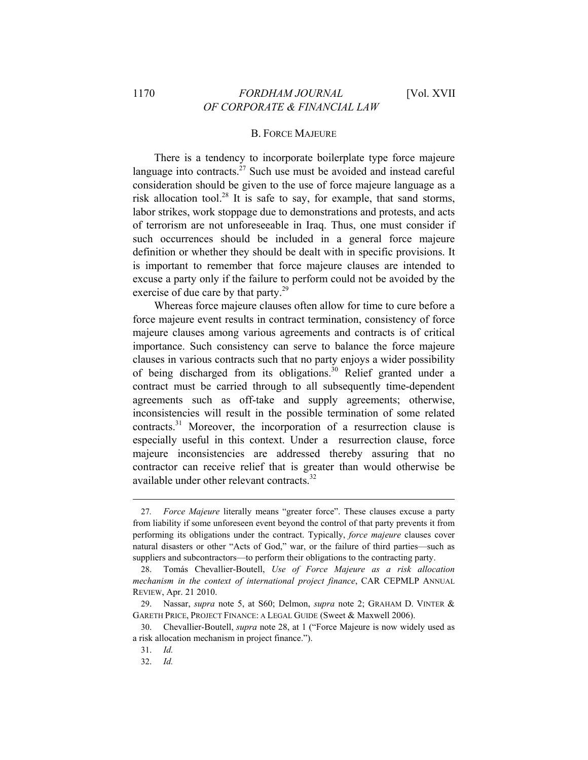#### B. FORCE MAJEURE

There is a tendency to incorporate boilerplate type force majeure language into contracts. $^{27}$  Such use must be avoided and instead careful consideration should be given to the use of force majeure language as a risk allocation tool.28 It is safe to say, for example, that sand storms, labor strikes, work stoppage due to demonstrations and protests, and acts of terrorism are not unforeseeable in Iraq. Thus, one must consider if such occurrences should be included in a general force majeure definition or whether they should be dealt with in specific provisions. It is important to remember that force majeure clauses are intended to excuse a party only if the failure to perform could not be avoided by the exercise of due care by that party.<sup>29</sup>

Whereas force majeure clauses often allow for time to cure before a force majeure event results in contract termination, consistency of force majeure clauses among various agreements and contracts is of critical importance. Such consistency can serve to balance the force majeure clauses in various contracts such that no party enjoys a wider possibility of being discharged from its obligations.<sup>30</sup> Relief granted under a contract must be carried through to all subsequently time-dependent agreements such as off-take and supply agreements; otherwise, inconsistencies will result in the possible termination of some related contracts.<sup>31</sup> Moreover, the incorporation of a resurrection clause is especially useful in this context. Under a resurrection clause, force majeure inconsistencies are addressed thereby assuring that no contractor can receive relief that is greater than would otherwise be available under other relevant contracts.<sup>32</sup>

<sup>27</sup>*. Force Majeure* literally means "greater force". These clauses excuse a party from liability if some unforeseen event beyond the control of that party prevents it from performing its obligations under the contract. Typically, *force majeure* clauses cover natural disasters or other "Acts of God," war, or the failure of third parties—such as suppliers and subcontractors—to perform their obligations to the contracting party.

<sup>28.</sup> Tomás Chevallier-Boutell, *Use of Force Majeure as a risk allocation mechanism in the context of international project finance*, CAR CEPMLP ANNUAL REVIEW, Apr. 21 2010.

<sup>29.</sup> Nassar, *supra* note 5, at S60; Delmon, *supra* note 2; GRAHAM D. VINTER & GARETH PRICE, PROJECT FINANCE: A LEGAL GUIDE (Sweet & Maxwell 2006).

<sup>30.</sup> Chevallier-Boutell, *supra* note 28, at 1 ("Force Majeure is now widely used as a risk allocation mechanism in project finance.").

<sup>31.</sup> *Id.*

<sup>32.</sup> *Id.*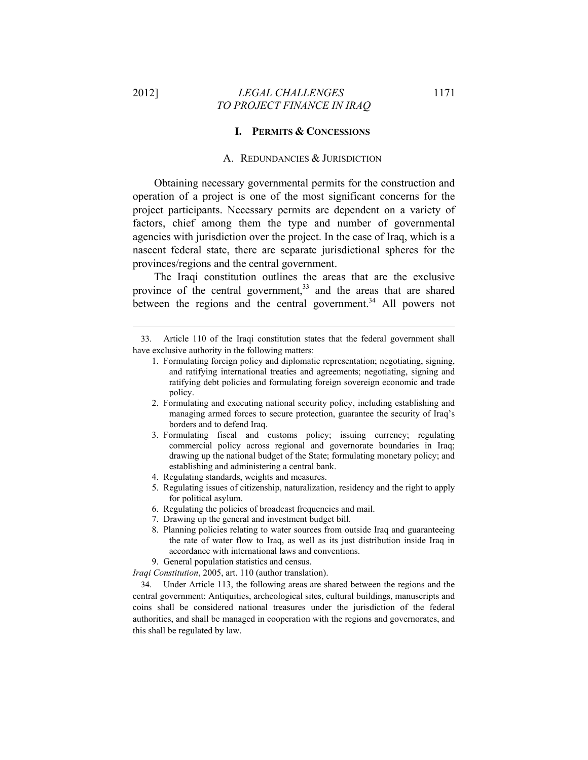$\overline{a}$ 

### 2012] *LEGAL CHALLENGES* 1171 *TO PROJECT FINANCE IN IRAQ*

### **I. PERMITS & CONCESSIONS**

#### A. REDUNDANCIES & JURISDICTION

Obtaining necessary governmental permits for the construction and operation of a project is one of the most significant concerns for the project participants. Necessary permits are dependent on a variety of factors, chief among them the type and number of governmental agencies with jurisdiction over the project. In the case of Iraq, which is a nascent federal state, there are separate jurisdictional spheres for the provinces/regions and the central government.

The Iraqi constitution outlines the areas that are the exclusive province of the central government, $33$  and the areas that are shared between the regions and the central government.<sup>34</sup> All powers not

- 1. Formulating foreign policy and diplomatic representation; negotiating, signing, and ratifying international treaties and agreements; negotiating, signing and ratifying debt policies and formulating foreign sovereign economic and trade policy.
- 2. Formulating and executing national security policy, including establishing and managing armed forces to secure protection, guarantee the security of Iraq's borders and to defend Iraq.
- 3. Formulating fiscal and customs policy; issuing currency; regulating commercial policy across regional and governorate boundaries in Iraq; drawing up the national budget of the State; formulating monetary policy; and establishing and administering a central bank.
- 4. Regulating standards, weights and measures.
- 5. Regulating issues of citizenship, naturalization, residency and the right to apply for political asylum.
- 6. Regulating the policies of broadcast frequencies and mail.
- 7. Drawing up the general and investment budget bill.
- 8. Planning policies relating to water sources from outside Iraq and guaranteeing the rate of water flow to Iraq, as well as its just distribution inside Iraq in accordance with international laws and conventions.
- 9. General population statistics and census.

*Iraqi Constitution*, 2005, art. 110 (author translation).

34. Under Article 113, the following areas are shared between the regions and the central government: Antiquities, archeological sites, cultural buildings, manuscripts and coins shall be considered national treasures under the jurisdiction of the federal authorities, and shall be managed in cooperation with the regions and governorates, and this shall be regulated by law.

<sup>33.</sup> Article 110 of the Iraqi constitution states that the federal government shall have exclusive authority in the following matters: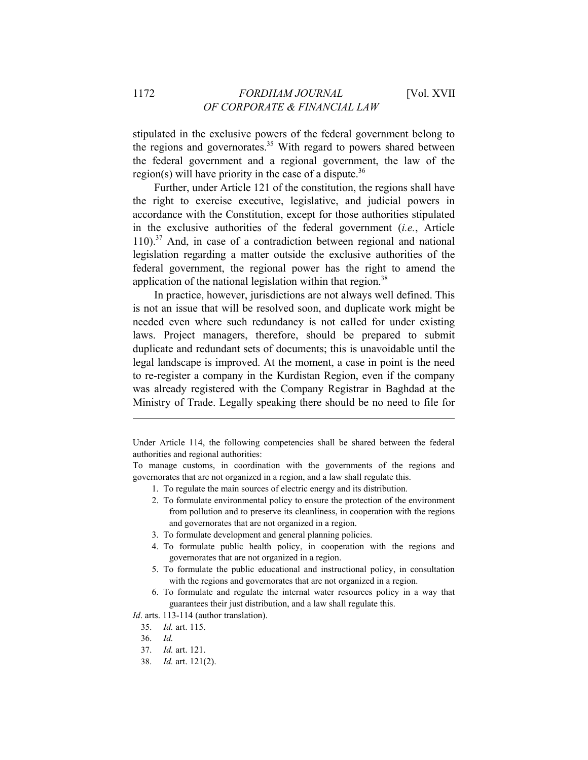stipulated in the exclusive powers of the federal government belong to the regions and governorates.<sup>35</sup> With regard to powers shared between the federal government and a regional government, the law of the region(s) will have priority in the case of a dispute.<sup>36</sup>

Further, under Article 121 of the constitution, the regions shall have the right to exercise executive, legislative, and judicial powers in accordance with the Constitution, except for those authorities stipulated in the exclusive authorities of the federal government (*i.e.*, Article  $110$ ).<sup>37</sup> And, in case of a contradiction between regional and national legislation regarding a matter outside the exclusive authorities of the federal government, the regional power has the right to amend the application of the national legislation within that region.<sup>38</sup>

In practice, however, jurisdictions are not always well defined. This is not an issue that will be resolved soon, and duplicate work might be needed even where such redundancy is not called for under existing laws. Project managers, therefore, should be prepared to submit duplicate and redundant sets of documents; this is unavoidable until the legal landscape is improved. At the moment, a case in point is the need to re-register a company in the Kurdistan Region, even if the company was already registered with the Company Registrar in Baghdad at the Ministry of Trade. Legally speaking there should be no need to file for

- 1. To regulate the main sources of electric energy and its distribution.
- 2. To formulate environmental policy to ensure the protection of the environment from pollution and to preserve its cleanliness, in cooperation with the regions and governorates that are not organized in a region.
- 3. To formulate development and general planning policies.
- 4. To formulate public health policy, in cooperation with the regions and governorates that are not organized in a region.
- 5. To formulate the public educational and instructional policy, in consultation with the regions and governorates that are not organized in a region.
- 6. To formulate and regulate the internal water resources policy in a way that guarantees their just distribution, and a law shall regulate this.

*Id*. arts. 113-114 (author translation).

- 35. *Id.* art. 115.
- 36. *Id.*

- 37. *Id.* art. 121.
- 38. *Id.* art. 121(2).

Under Article 114, the following competencies shall be shared between the federal authorities and regional authorities:

To manage customs, in coordination with the governments of the regions and governorates that are not organized in a region, and a law shall regulate this.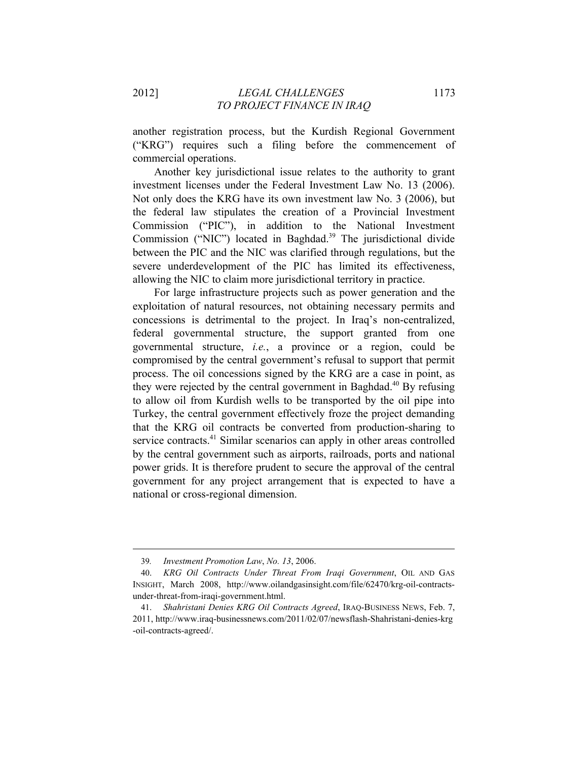another registration process, but the Kurdish Regional Government ("KRG") requires such a filing before the commencement of commercial operations.

Another key jurisdictional issue relates to the authority to grant investment licenses under the Federal Investment Law No. 13 (2006). Not only does the KRG have its own investment law No. 3 (2006), but the federal law stipulates the creation of a Provincial Investment Commission ("PIC"), in addition to the National Investment Commission ("NIC") located in Baghdad.<sup>39</sup> The jurisdictional divide between the PIC and the NIC was clarified through regulations, but the severe underdevelopment of the PIC has limited its effectiveness, allowing the NIC to claim more jurisdictional territory in practice.

For large infrastructure projects such as power generation and the exploitation of natural resources, not obtaining necessary permits and concessions is detrimental to the project. In Iraq's non-centralized, federal governmental structure, the support granted from one governmental structure, *i.e.*, a province or a region, could be compromised by the central government's refusal to support that permit process. The oil concessions signed by the KRG are a case in point, as they were rejected by the central government in Baghdad.<sup>40</sup> By refusing to allow oil from Kurdish wells to be transported by the oil pipe into Turkey, the central government effectively froze the project demanding that the KRG oil contracts be converted from production-sharing to service contracts.<sup>41</sup> Similar scenarios can apply in other areas controlled by the central government such as airports, railroads, ports and national power grids. It is therefore prudent to secure the approval of the central government for any project arrangement that is expected to have a national or cross-regional dimension.

<sup>39</sup>*. Investment Promotion Law*, *No. 13*, 2006.

<sup>40.</sup> *KRG Oil Contracts Under Threat From Iraqi Government*, OIL AND GAS INSIGHT, March 2008, http://www.oilandgasinsight.com/file/62470/krg-oil-contractsunder-threat-from-iraqi-government.html.

<sup>41.</sup> *Shahristani Denies KRG Oil Contracts Agreed*, IRAQ-BUSINESS NEWS, Feb. 7, 2011, http://www.iraq-businessnews.com/2011/02/07/newsflash-Shahristani-denies-krg -oil-contracts-agreed/.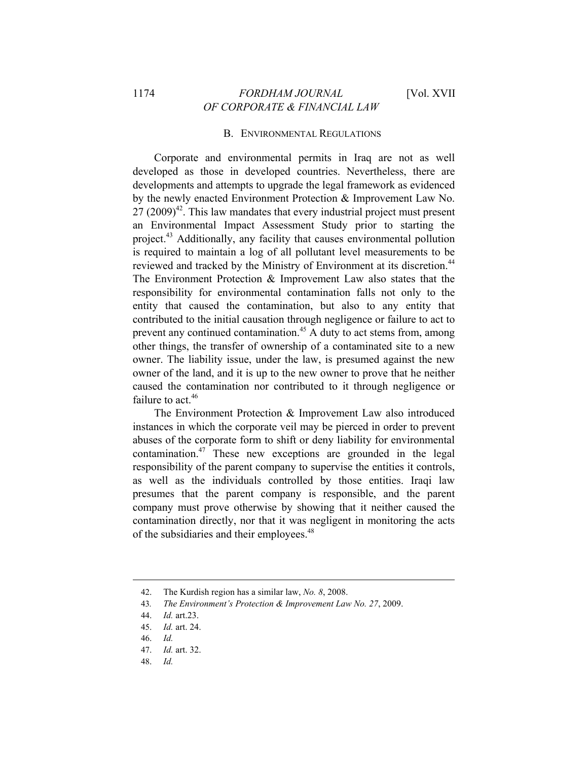# 1174 *FORDHAM JOURNAL* [Vol. XVII *OF CORPORATE & FINANCIAL LAW*

### B. ENVIRONMENTAL REGULATIONS

Corporate and environmental permits in Iraq are not as well developed as those in developed countries. Nevertheless, there are developments and attempts to upgrade the legal framework as evidenced by the newly enacted Environment Protection & Improvement Law No.  $27 (2009)^{42}$ . This law mandates that every industrial project must present an Environmental Impact Assessment Study prior to starting the project.43 Additionally, any facility that causes environmental pollution is required to maintain a log of all pollutant level measurements to be reviewed and tracked by the Ministry of Environment at its discretion.<sup>44</sup> The Environment Protection & Improvement Law also states that the responsibility for environmental contamination falls not only to the entity that caused the contamination, but also to any entity that contributed to the initial causation through negligence or failure to act to prevent any continued contamination.45 A duty to act stems from, among other things, the transfer of ownership of a contaminated site to a new owner. The liability issue, under the law, is presumed against the new owner of the land, and it is up to the new owner to prove that he neither caused the contamination nor contributed to it through negligence or failure to act.<sup>46</sup>

The Environment Protection & Improvement Law also introduced instances in which the corporate veil may be pierced in order to prevent abuses of the corporate form to shift or deny liability for environmental contamination.47 These new exceptions are grounded in the legal responsibility of the parent company to supervise the entities it controls, as well as the individuals controlled by those entities. Iraqi law presumes that the parent company is responsible, and the parent company must prove otherwise by showing that it neither caused the contamination directly, nor that it was negligent in monitoring the acts of the subsidiaries and their employees.<sup>48</sup>

 $\overline{a}$ 

48. *Id.*

<sup>42.</sup> The Kurdish region has a similar law, *No. 8*, 2008.

<sup>43</sup>*. The Environment's Protection & Improvement Law No. 27*, 2009.

<sup>44.</sup> *Id.* art.23.

<sup>45.</sup> *Id.* art. 24.

<sup>46.</sup> *Id.*

<sup>47.</sup> *Id.* art. 32.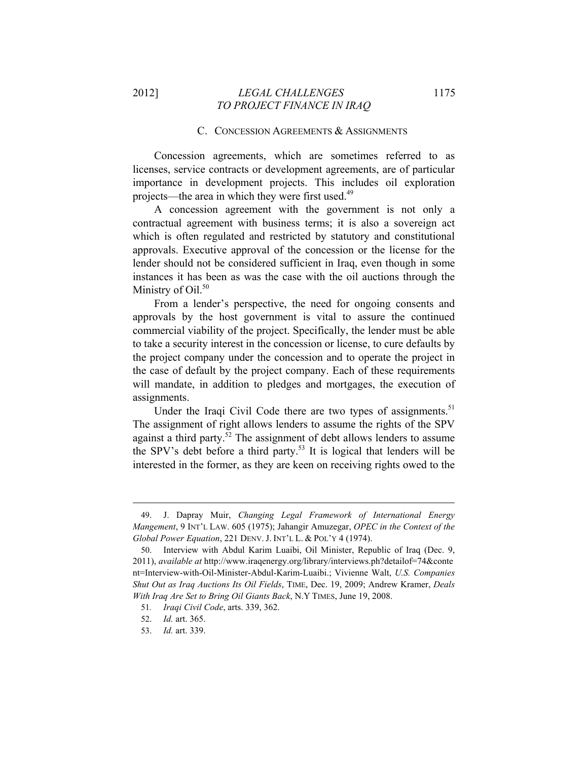#### C. CONCESSION AGREEMENTS & ASSIGNMENTS

Concession agreements, which are sometimes referred to as licenses, service contracts or development agreements, are of particular importance in development projects. This includes oil exploration projects—the area in which they were first used.<sup>49</sup>

A concession agreement with the government is not only a contractual agreement with business terms; it is also a sovereign act which is often regulated and restricted by statutory and constitutional approvals. Executive approval of the concession or the license for the lender should not be considered sufficient in Iraq, even though in some instances it has been as was the case with the oil auctions through the Ministry of Oil.<sup>50</sup>

From a lender's perspective, the need for ongoing consents and approvals by the host government is vital to assure the continued commercial viability of the project. Specifically, the lender must be able to take a security interest in the concession or license, to cure defaults by the project company under the concession and to operate the project in the case of default by the project company. Each of these requirements will mandate, in addition to pledges and mortgages, the execution of assignments.

Under the Iraqi Civil Code there are two types of assignments.<sup>51</sup> The assignment of right allows lenders to assume the rights of the SPV against a third party. $52$  The assignment of debt allows lenders to assume the SPV's debt before a third party.<sup>53</sup> It is logical that lenders will be interested in the former, as they are keen on receiving rights owed to the

<sup>49.</sup> J. Dapray Muir, *Changing Legal Framework of International Energy Mangement*, 9 INT'L LAW. 605 (1975); Jahangir Amuzegar, *OPEC in the Context of the Global Power Equation*, 221 DENV. J. INT'L L. & POL'Y 4 (1974).

<sup>50.</sup> Interview with Abdul Karim Luaibi, Oil Minister, Republic of Iraq (Dec. 9, 2011), *available at* http://www.iraqenergy.org/library/interviews.ph?detailof=74&conte nt=Interview-with-Oil-Minister-Abdul-Karim-Luaibi.; Vivienne Walt, *U.S. Companies Shut Out as Iraq Auctions Its Oil Fields*, TIME, Dec. 19, 2009; Andrew Kramer, *Deals With Iraq Are Set to Bring Oil Giants Back*, N.Y TIMES, June 19, 2008.

<sup>51</sup>*. Iraqi Civil Code*, arts. 339, 362.

<sup>52.</sup> *Id.* art. 365.

<sup>53.</sup> *Id.* art. 339.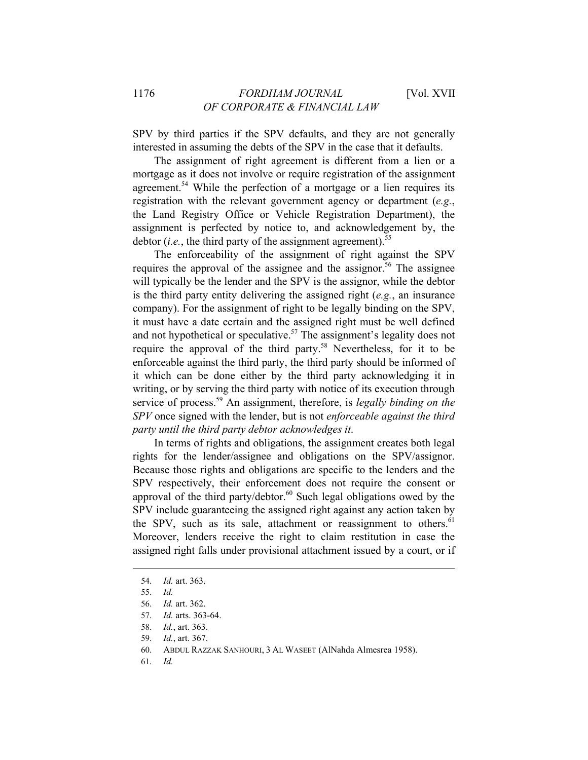SPV by third parties if the SPV defaults, and they are not generally interested in assuming the debts of the SPV in the case that it defaults.

The assignment of right agreement is different from a lien or a mortgage as it does not involve or require registration of the assignment agreement.<sup>54</sup> While the perfection of a mortgage or a lien requires its registration with the relevant government agency or department (*e.g.*, the Land Registry Office or Vehicle Registration Department), the assignment is perfected by notice to, and acknowledgement by, the debtor  $(i.e.,$  the third party of the assignment agreement).<sup>55</sup>

The enforceability of the assignment of right against the SPV requires the approval of the assignee and the assignor.<sup>56</sup> The assignee will typically be the lender and the SPV is the assignor, while the debtor is the third party entity delivering the assigned right (*e.g.*, an insurance company). For the assignment of right to be legally binding on the SPV, it must have a date certain and the assigned right must be well defined and not hypothetical or speculative.<sup>57</sup> The assignment's legality does not require the approval of the third party.58 Nevertheless, for it to be enforceable against the third party, the third party should be informed of it which can be done either by the third party acknowledging it in writing, or by serving the third party with notice of its execution through service of process.<sup>59</sup> An assignment, therefore, is *legally binding on the SPV* once signed with the lender, but is not *enforceable against the third party until the third party debtor acknowledges it*.

In terms of rights and obligations, the assignment creates both legal rights for the lender/assignee and obligations on the SPV/assignor. Because those rights and obligations are specific to the lenders and the SPV respectively, their enforcement does not require the consent or approval of the third party/debtor. $60$  Such legal obligations owed by the SPV include guaranteeing the assigned right against any action taken by the SPV, such as its sale, attachment or reassignment to others.<sup>61</sup> Moreover, lenders receive the right to claim restitution in case the assigned right falls under provisional attachment issued by a court, or if

 $\overline{a}$ 

61. *Id.*

<sup>54.</sup> *Id.* art. 363.

<sup>55.</sup> *Id.*

<sup>56.</sup> *Id.* art. 362.

<sup>57.</sup> *Id.* arts. 363-64.

<sup>58.</sup> *Id.*, art. 363.

<sup>59.</sup> *Id.*, art. 367.

<sup>60.</sup> ABDUL RAZZAK SANHOURI, 3 AL WASEET (AlNahda Almesrea 1958).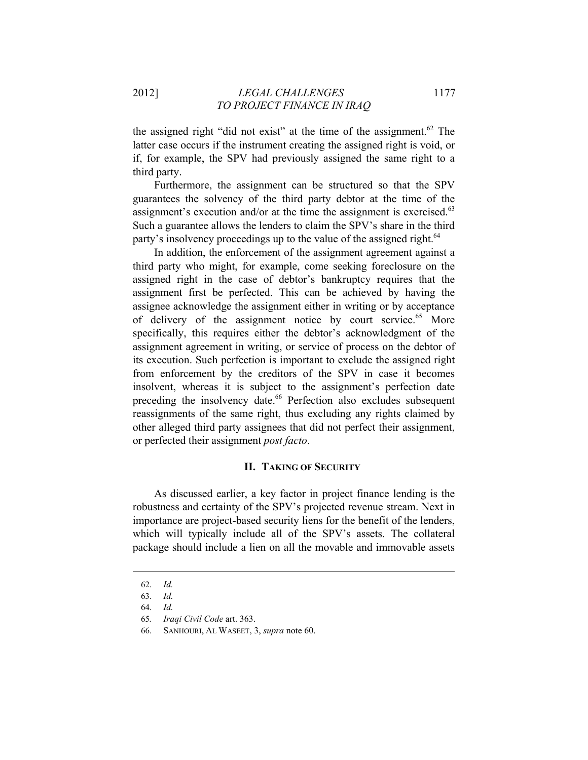the assigned right "did not exist" at the time of the assignment.<sup>62</sup> The latter case occurs if the instrument creating the assigned right is void, or if, for example, the SPV had previously assigned the same right to a third party.

Furthermore, the assignment can be structured so that the SPV guarantees the solvency of the third party debtor at the time of the assignment's execution and/or at the time the assignment is exercised. $63$ Such a guarantee allows the lenders to claim the SPV's share in the third party's insolvency proceedings up to the value of the assigned right.<sup>64</sup>

In addition, the enforcement of the assignment agreement against a third party who might, for example, come seeking foreclosure on the assigned right in the case of debtor's bankruptcy requires that the assignment first be perfected. This can be achieved by having the assignee acknowledge the assignment either in writing or by acceptance of delivery of the assignment notice by court service. $65$  More specifically, this requires either the debtor's acknowledgment of the assignment agreement in writing, or service of process on the debtor of its execution. Such perfection is important to exclude the assigned right from enforcement by the creditors of the SPV in case it becomes insolvent, whereas it is subject to the assignment's perfection date preceding the insolvency date.<sup>66</sup> Perfection also excludes subsequent reassignments of the same right, thus excluding any rights claimed by other alleged third party assignees that did not perfect their assignment, or perfected their assignment *post facto*.

# **II. TAKING OF SECURITY**

As discussed earlier, a key factor in project finance lending is the robustness and certainty of the SPV's projected revenue stream. Next in importance are project-based security liens for the benefit of the lenders, which will typically include all of the SPV's assets. The collateral package should include a lien on all the movable and immovable assets

<sup>62.</sup> *Id.*

<sup>63.</sup> *Id.*

<sup>64.</sup> *Id.*

<sup>65</sup>*. Iraqi Civil Code* art. 363.

<sup>66.</sup> SANHOURI, AL WASEET, 3, *supra* note 60.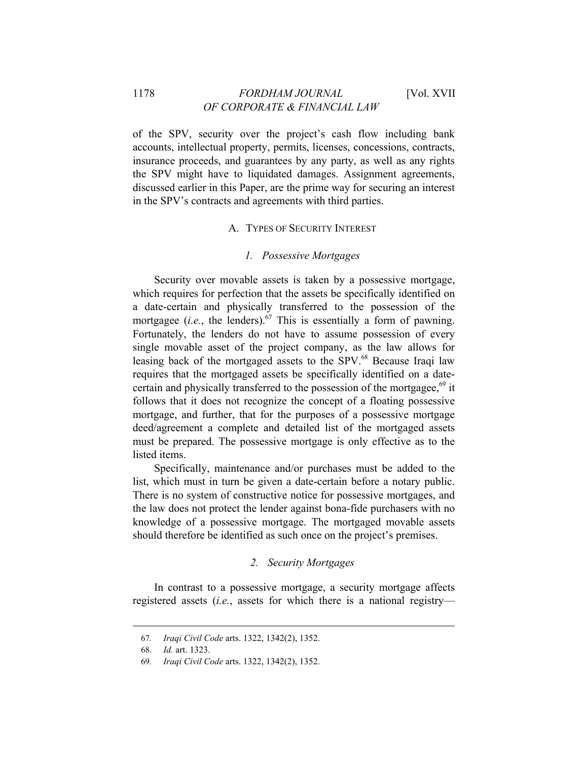# 1178 *FORDHAM JOURNAL* [Vol. XVII *OF CORPORATE & FINANCIAL LAW*

of the SPV, security over the project's cash flow including bank accounts, intellectual property, permits, licenses, concessions, contracts, insurance proceeds, and guarantees by any party, as well as any rights the SPV might have to liquidated damages. Assignment agreements, discussed earlier in this Paper, are the prime way for securing an interest in the SPV's contracts and agreements with third parties.

### A. TYPES OF SECURITY INTEREST

#### *1. Possessive Mortgages*

Security over movable assets is taken by a possessive mortgage, which requires for perfection that the assets be specifically identified on a date-certain and physically transferred to the possession of the mortgagee (*i.e.*, the lenders).<sup>67</sup> This is essentially a form of pawning. Fortunately, the lenders do not have to assume possession of every single movable asset of the project company, as the law allows for leasing back of the mortgaged assets to the SPV.<sup>68</sup> Because Iraqi law requires that the mortgaged assets be specifically identified on a datecertain and physically transferred to the possession of the mortgagee, $69$  it follows that it does not recognize the concept of a floating possessive mortgage, and further, that for the purposes of a possessive mortgage deed/agreement a complete and detailed list of the mortgaged assets must be prepared. The possessive mortgage is only effective as to the listed items.

Specifically, maintenance and/or purchases must be added to the list, which must in turn be given a date-certain before a notary public. There is no system of constructive notice for possessive mortgages, and the law does not protect the lender against bona-fide purchasers with no knowledge of a possessive mortgage. The mortgaged movable assets should therefore be identified as such once on the project's premises.

#### *2. Security Mortgages*

In contrast to a possessive mortgage, a security mortgage affects registered assets (*i.e.*, assets for which there is a national registry—

<sup>67</sup>*. Iraqi Civil Code* arts. 1322, 1342(2), 1352.

<sup>68.</sup> *Id.* art. 1323.

<sup>69</sup>*. Iraqi Civil Code* arts. 1322, 1342(2), 1352.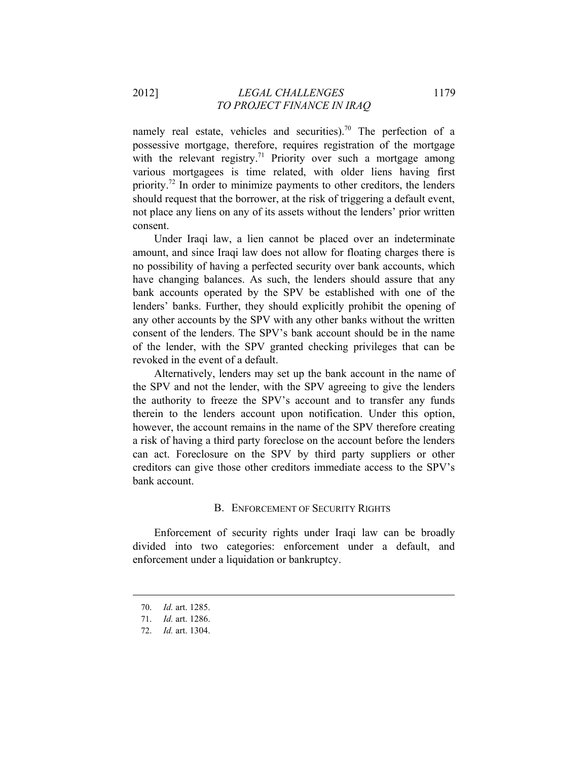namely real estate, vehicles and securities).<sup>70</sup> The perfection of a possessive mortgage, therefore, requires registration of the mortgage with the relevant registry.<sup>71</sup> Priority over such a mortgage among various mortgagees is time related, with older liens having first priority.<sup>72</sup> In order to minimize payments to other creditors, the lenders should request that the borrower, at the risk of triggering a default event, not place any liens on any of its assets without the lenders' prior written consent.

Under Iraqi law, a lien cannot be placed over an indeterminate amount, and since Iraqi law does not allow for floating charges there is no possibility of having a perfected security over bank accounts, which have changing balances. As such, the lenders should assure that any bank accounts operated by the SPV be established with one of the lenders' banks. Further, they should explicitly prohibit the opening of any other accounts by the SPV with any other banks without the written consent of the lenders. The SPV's bank account should be in the name of the lender, with the SPV granted checking privileges that can be revoked in the event of a default.

Alternatively, lenders may set up the bank account in the name of the SPV and not the lender, with the SPV agreeing to give the lenders the authority to freeze the SPV's account and to transfer any funds therein to the lenders account upon notification. Under this option, however, the account remains in the name of the SPV therefore creating a risk of having a third party foreclose on the account before the lenders can act. Foreclosure on the SPV by third party suppliers or other creditors can give those other creditors immediate access to the SPV's bank account.

### B. ENFORCEMENT OF SECURITY RIGHTS

Enforcement of security rights under Iraqi law can be broadly divided into two categories: enforcement under a default, and enforcement under a liquidation or bankruptcy.

<sup>70.</sup> *Id.* art. 1285.

<sup>71.</sup> *Id.* art. 1286.

<sup>72.</sup> *Id.* art. 1304.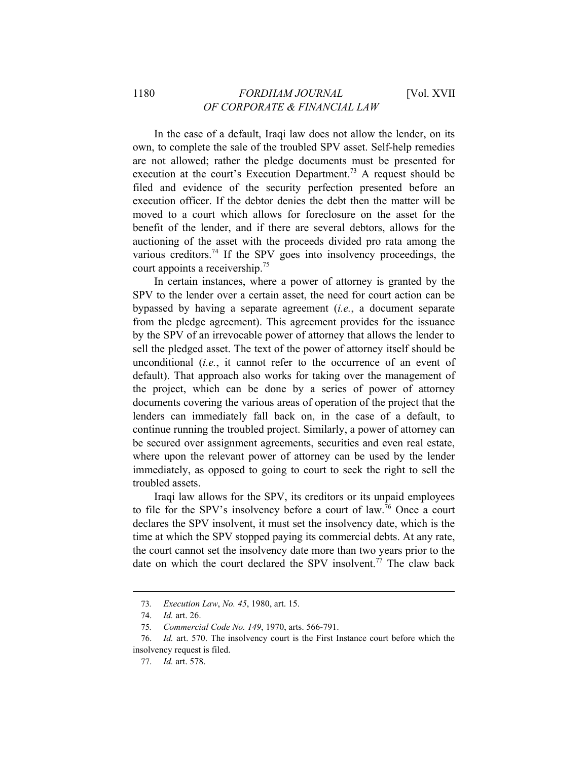In the case of a default, Iraqi law does not allow the lender, on its own, to complete the sale of the troubled SPV asset. Self-help remedies are not allowed; rather the pledge documents must be presented for execution at the court's Execution Department.<sup>73</sup> A request should be filed and evidence of the security perfection presented before an execution officer. If the debtor denies the debt then the matter will be moved to a court which allows for foreclosure on the asset for the benefit of the lender, and if there are several debtors, allows for the auctioning of the asset with the proceeds divided pro rata among the various creditors.<sup>74</sup> If the SPV goes into insolvency proceedings, the court appoints a receivership.75

In certain instances, where a power of attorney is granted by the SPV to the lender over a certain asset, the need for court action can be bypassed by having a separate agreement (*i.e.*, a document separate from the pledge agreement). This agreement provides for the issuance by the SPV of an irrevocable power of attorney that allows the lender to sell the pledged asset. The text of the power of attorney itself should be unconditional (*i.e.*, it cannot refer to the occurrence of an event of default). That approach also works for taking over the management of the project, which can be done by a series of power of attorney documents covering the various areas of operation of the project that the lenders can immediately fall back on, in the case of a default, to continue running the troubled project. Similarly, a power of attorney can be secured over assignment agreements, securities and even real estate, where upon the relevant power of attorney can be used by the lender immediately, as opposed to going to court to seek the right to sell the troubled assets.

Iraqi law allows for the SPV, its creditors or its unpaid employees to file for the SPV's insolvency before a court of law.76 Once a court declares the SPV insolvent, it must set the insolvency date, which is the time at which the SPV stopped paying its commercial debts. At any rate, the court cannot set the insolvency date more than two years prior to the date on which the court declared the SPV insolvent.<sup>77</sup> The claw back

<sup>73</sup>*. Execution Law*, *No. 45*, 1980, art. 15.

<sup>74.</sup> *Id.* art. 26.

<sup>75</sup>*. Commercial Code No. 149*, 1970, arts. 566-791.

<sup>76.</sup> *Id.* art. 570. The insolvency court is the First Instance court before which the insolvency request is filed.

<sup>77.</sup> *Id.* art. 578.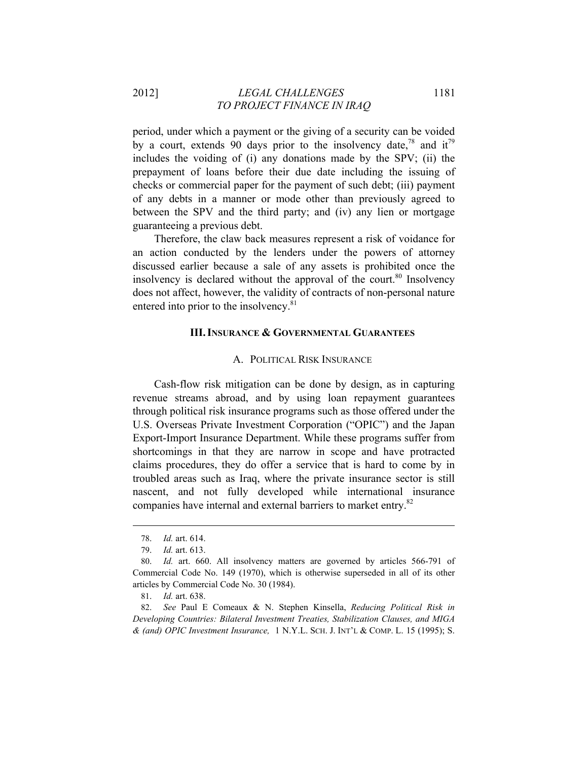2012] *LEGAL CHALLENGES* 1181 *TO PROJECT FINANCE IN IRAQ* 

period, under which a payment or the giving of a security can be voided by a court, extends 90 days prior to the insolvency date,<sup>78</sup> and it<sup>79</sup> includes the voiding of (i) any donations made by the SPV; (ii) the prepayment of loans before their due date including the issuing of checks or commercial paper for the payment of such debt; (iii) payment of any debts in a manner or mode other than previously agreed to between the SPV and the third party; and (iv) any lien or mortgage guaranteeing a previous debt.

Therefore, the claw back measures represent a risk of voidance for an action conducted by the lenders under the powers of attorney discussed earlier because a sale of any assets is prohibited once the insolvency is declared without the approval of the court.<sup>80</sup> Insolvency does not affect, however, the validity of contracts of non-personal nature entered into prior to the insolvency.<sup>81</sup>

### **III.INSURANCE & GOVERNMENTAL GUARANTEES**

#### A. POLITICAL RISK INSURANCE

Cash-flow risk mitigation can be done by design, as in capturing revenue streams abroad, and by using loan repayment guarantees through political risk insurance programs such as those offered under the U.S. Overseas Private Investment Corporation ("OPIC") and the Japan Export-Import Insurance Department. While these programs suffer from shortcomings in that they are narrow in scope and have protracted claims procedures, they do offer a service that is hard to come by in troubled areas such as Iraq, where the private insurance sector is still nascent, and not fully developed while international insurance companies have internal and external barriers to market entry.<sup>82</sup>

<sup>78.</sup> *Id.* art. 614.

<sup>79.</sup> *Id.* art. 613.

<sup>80.</sup> *Id.* art. 660. All insolvency matters are governed by articles 566-791 of Commercial Code No. 149 (1970), which is otherwise superseded in all of its other articles by Commercial Code No. 30 (1984).

<sup>81.</sup> *Id.* art. 638.

<sup>82.</sup> *See* Paul E Comeaux & N. Stephen Kinsella, *Reducing Political Risk in Developing Countries: Bilateral Investment Treaties, Stabilization Clauses, and MIGA & (and) OPIC Investment Insurance,* 1 N.Y.L. SCH. J. INT'L & COMP. L. 15 (1995); S.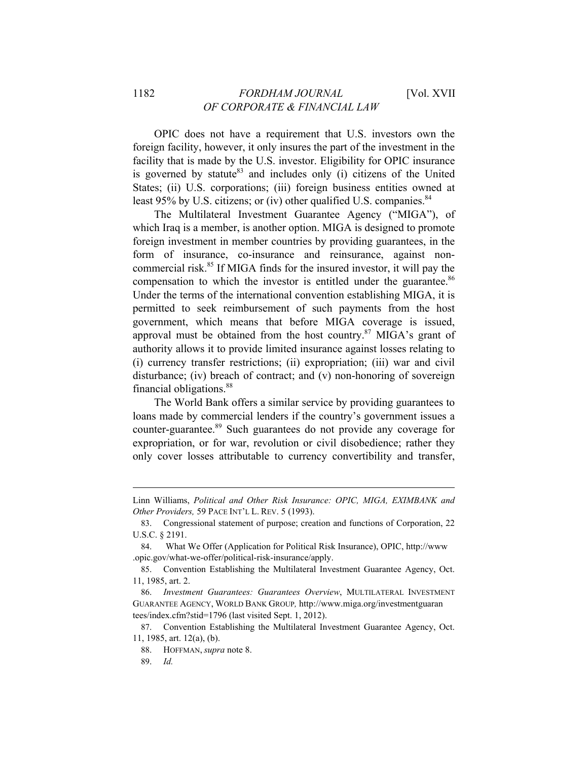OPIC does not have a requirement that U.S. investors own the foreign facility, however, it only insures the part of the investment in the facility that is made by the U.S. investor. Eligibility for OPIC insurance is governed by statute<sup>83</sup> and includes only (i) citizens of the United States; (ii) U.S. corporations; (iii) foreign business entities owned at least 95% by U.S. citizens; or (iv) other qualified U.S. companies.  $84$ 

The Multilateral Investment Guarantee Agency ("MIGA"), of which Iraq is a member, is another option. MIGA is designed to promote foreign investment in member countries by providing guarantees, in the form of insurance, co-insurance and reinsurance, against noncommercial risk. $85$  If MIGA finds for the insured investor, it will pay the compensation to which the investor is entitled under the guarantee.<sup>86</sup> Under the terms of the international convention establishing MIGA, it is permitted to seek reimbursement of such payments from the host government, which means that before MIGA coverage is issued, approval must be obtained from the host country. $87$  MIGA's grant of authority allows it to provide limited insurance against losses relating to (i) currency transfer restrictions; (ii) expropriation; (iii) war and civil disturbance; (iv) breach of contract; and (v) non-honoring of sovereign financial obligations.<sup>88</sup>

The World Bank offers a similar service by providing guarantees to loans made by commercial lenders if the country's government issues a counter-guarantee.89 Such guarantees do not provide any coverage for expropriation, or for war, revolution or civil disobedience; rather they only cover losses attributable to currency convertibility and transfer,

Linn Williams, *Political and Other Risk Insurance: OPIC, MIGA, EXIMBANK and Other Providers,* 59 PACE INT'L L. REV. 5 (1993).

<sup>83.</sup> Congressional statement of purpose; creation and functions of Corporation, 22 U.S.C. § 2191.

<sup>84.</sup> What We Offer (Application for Political Risk Insurance), OPIC, http://www .opic.gov/what-we-offer/political-risk-insurance/apply.

<sup>85.</sup> Convention Establishing the Multilateral Investment Guarantee Agency, Oct. 11, 1985, art. 2.

<sup>86.</sup> *Investment Guarantees: Guarantees Overview*, MULTILATERAL INVESTMENT GUARANTEE AGENCY, WORLD BANK GROUP*,* http://www.miga.org/investmentguaran tees/index.cfm?stid=1796 (last visited Sept. 1, 2012).

<sup>87.</sup> Convention Establishing the Multilateral Investment Guarantee Agency, Oct. 11, 1985, art. 12(a), (b).

<sup>88.</sup> HOFFMAN, *supra* note 8.

<sup>89.</sup> *Id.*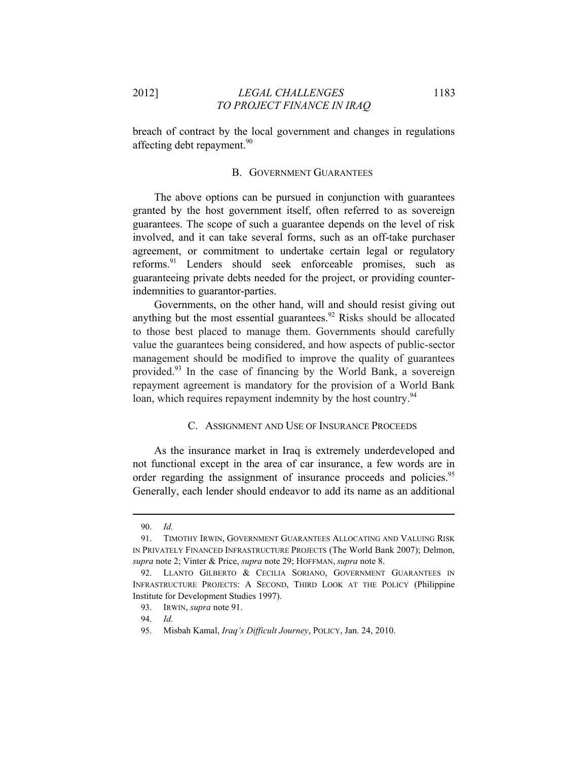breach of contract by the local government and changes in regulations affecting debt repayment.<sup>90</sup>

### B. GOVERNMENT GUARANTEES

The above options can be pursued in conjunction with guarantees granted by the host government itself, often referred to as sovereign guarantees. The scope of such a guarantee depends on the level of risk involved, and it can take several forms, such as an off-take purchaser agreement, or commitment to undertake certain legal or regulatory reforms.<sup>91</sup> Lenders should seek enforceable promises, such as guaranteeing private debts needed for the project, or providing counterindemnities to guarantor-parties.

Governments, on the other hand, will and should resist giving out anything but the most essential guarantees.<sup>92</sup> Risks should be allocated to those best placed to manage them. Governments should carefully value the guarantees being considered, and how aspects of public-sector management should be modified to improve the quality of guarantees provided.93 In the case of financing by the World Bank, a sovereign repayment agreement is mandatory for the provision of a World Bank loan, which requires repayment indemnity by the host country.<sup>94</sup>

#### C. ASSIGNMENT AND USE OF INSURANCE PROCEEDS

As the insurance market in Iraq is extremely underdeveloped and not functional except in the area of car insurance, a few words are in order regarding the assignment of insurance proceeds and policies.<sup>95</sup> Generally, each lender should endeavor to add its name as an additional

<sup>90.</sup> *Id.*

<sup>91.</sup> TIMOTHY IRWIN, GOVERNMENT GUARANTEES ALLOCATING AND VALUING RISK IN PRIVATELY FINANCED INFRASTRUCTURE PROJECTS (The World Bank 2007); Delmon, *supra* note 2; Vinter & Price, *supra* note 29; HOFFMAN, *supra* note 8.

<sup>92.</sup> LLANTO GILBERTO & CECILIA SORIANO, GOVERNMENT GUARANTEES IN INFRASTRUCTURE PROJECTS: A SECOND, THIRD LOOK AT THE POLICY (Philippine Institute for Development Studies 1997).

<sup>93.</sup> IRWIN, *supra* note 91.

<sup>94.</sup> *Id.*

<sup>95.</sup> Misbah Kamal, *Iraq's Difficult Journey*, POLICY, Jan. 24, 2010.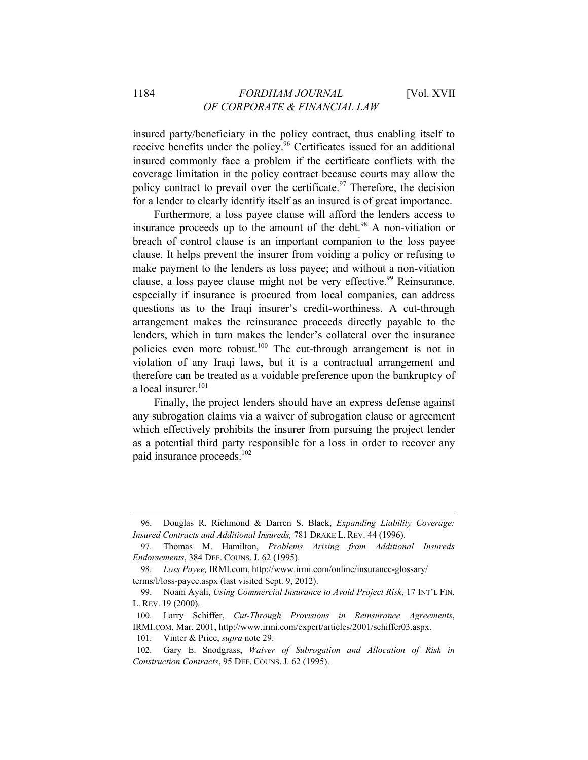insured party/beneficiary in the policy contract, thus enabling itself to receive benefits under the policy.96 Certificates issued for an additional insured commonly face a problem if the certificate conflicts with the coverage limitation in the policy contract because courts may allow the policy contract to prevail over the certificate.<sup>97</sup> Therefore, the decision for a lender to clearly identify itself as an insured is of great importance.

Furthermore, a loss payee clause will afford the lenders access to insurance proceeds up to the amount of the debt. $98$  A non-vitiation or breach of control clause is an important companion to the loss payee clause. It helps prevent the insurer from voiding a policy or refusing to make payment to the lenders as loss payee; and without a non-vitiation clause, a loss payee clause might not be very effective.<sup>99</sup> Reinsurance. especially if insurance is procured from local companies, can address questions as to the Iraqi insurer's credit-worthiness. A cut-through arrangement makes the reinsurance proceeds directly payable to the lenders, which in turn makes the lender's collateral over the insurance policies even more robust.<sup>100</sup> The cut-through arrangement is not in violation of any Iraqi laws, but it is a contractual arrangement and therefore can be treated as a voidable preference upon the bankruptcy of a local insurer.<sup>101</sup>

Finally, the project lenders should have an express defense against any subrogation claims via a waiver of subrogation clause or agreement which effectively prohibits the insurer from pursuing the project lender as a potential third party responsible for a loss in order to recover any paid insurance proceeds.<sup>102</sup>

<sup>96.</sup> Douglas R. Richmond & Darren S. Black, *Expanding Liability Coverage: Insured Contracts and Additional Insureds,* 781 DRAKE L. REV. 44 (1996).

<sup>97.</sup> Thomas M. Hamilton, *Problems Arising from Additional Insureds Endorsements*, 384 DEF. COUNS. J. 62 (1995).

<sup>98.</sup> *Loss Payee,* IRMI.com, http://www.irmi.com/online/insurance-glossary/ terms/l/loss-payee.aspx (last visited Sept. 9, 2012).

<sup>99.</sup> Noam Ayali, *Using Commercial Insurance to Avoid Project Risk*, 17 INT'L FIN. L. REV. 19 (2000).

<sup>100.</sup> Larry Schiffer, *Cut-Through Provisions in Reinsurance Agreements*, IRMI.COM, Mar. 2001, http://www.irmi.com/expert/articles/2001/schiffer03.aspx.

<sup>101.</sup> Vinter & Price, *supra* note 29.

<sup>102.</sup> Gary E. Snodgrass, *Waiver of Subrogation and Allocation of Risk in Construction Contracts*, 95 DEF. COUNS. J. 62 (1995).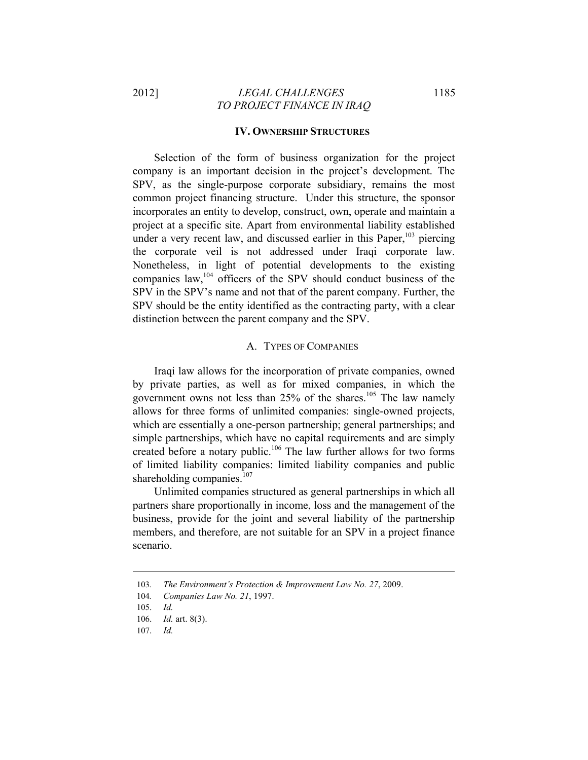# 2012] *LEGAL CHALLENGES* 1185 *TO PROJECT FINANCE IN IRAQ*

# **IV. OWNERSHIP STRUCTURES**

Selection of the form of business organization for the project company is an important decision in the project's development. The SPV, as the single-purpose corporate subsidiary, remains the most common project financing structure. Under this structure, the sponsor incorporates an entity to develop, construct, own, operate and maintain a project at a specific site. Apart from environmental liability established under a very recent law, and discussed earlier in this Paper,  $103$  piercing the corporate veil is not addressed under Iraqi corporate law. Nonetheless, in light of potential developments to the existing companies law,<sup>104</sup> officers of the SPV should conduct business of the SPV in the SPV's name and not that of the parent company. Further, the SPV should be the entity identified as the contracting party, with a clear distinction between the parent company and the SPV.

#### A. TYPES OF COMPANIES

Iraqi law allows for the incorporation of private companies, owned by private parties, as well as for mixed companies, in which the government owns not less than  $25\%$  of the shares.<sup>105</sup> The law namely allows for three forms of unlimited companies: single-owned projects, which are essentially a one-person partnership; general partnerships; and simple partnerships, which have no capital requirements and are simply created before a notary public.<sup>106</sup> The law further allows for two forms of limited liability companies: limited liability companies and public shareholding companies.<sup>107</sup>

Unlimited companies structured as general partnerships in which all partners share proportionally in income, loss and the management of the business, provide for the joint and several liability of the partnership members, and therefore, are not suitable for an SPV in a project finance scenario.

<sup>103</sup>*. The Environment's Protection & Improvement Law No. 27*, 2009.

<sup>104</sup>*. Companies Law No. 21*, 1997.

<sup>105.</sup> *Id.*

<sup>106.</sup> *Id.* art. 8(3).

<sup>107.</sup> *Id.*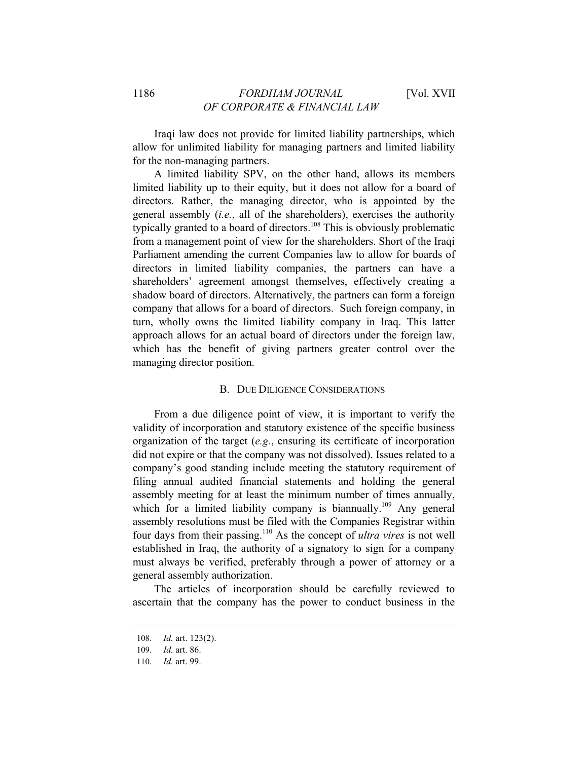Iraqi law does not provide for limited liability partnerships, which allow for unlimited liability for managing partners and limited liability for the non-managing partners.

A limited liability SPV, on the other hand, allows its members limited liability up to their equity, but it does not allow for a board of directors. Rather, the managing director, who is appointed by the general assembly (*i.e.*, all of the shareholders), exercises the authority typically granted to a board of directors.<sup>108</sup> This is obviously problematic from a management point of view for the shareholders. Short of the Iraqi Parliament amending the current Companies law to allow for boards of directors in limited liability companies, the partners can have a shareholders' agreement amongst themselves, effectively creating a shadow board of directors. Alternatively, the partners can form a foreign company that allows for a board of directors. Such foreign company, in turn, wholly owns the limited liability company in Iraq. This latter approach allows for an actual board of directors under the foreign law, which has the benefit of giving partners greater control over the managing director position.

#### B. DUE DILIGENCE CONSIDERATIONS

From a due diligence point of view, it is important to verify the validity of incorporation and statutory existence of the specific business organization of the target (*e.g.*, ensuring its certificate of incorporation did not expire or that the company was not dissolved). Issues related to a company's good standing include meeting the statutory requirement of filing annual audited financial statements and holding the general assembly meeting for at least the minimum number of times annually, which for a limited liability company is biannually.<sup>109</sup> Any general assembly resolutions must be filed with the Companies Registrar within four days from their passing.110 As the concept of *ultra vires* is not well established in Iraq, the authority of a signatory to sign for a company must always be verified, preferably through a power of attorney or a general assembly authorization.

The articles of incorporation should be carefully reviewed to ascertain that the company has the power to conduct business in the

<sup>108.</sup> *Id.* art. 123(2).

<sup>109.</sup> *Id.* art. 86.

<sup>110.</sup> *Id.* art. 99.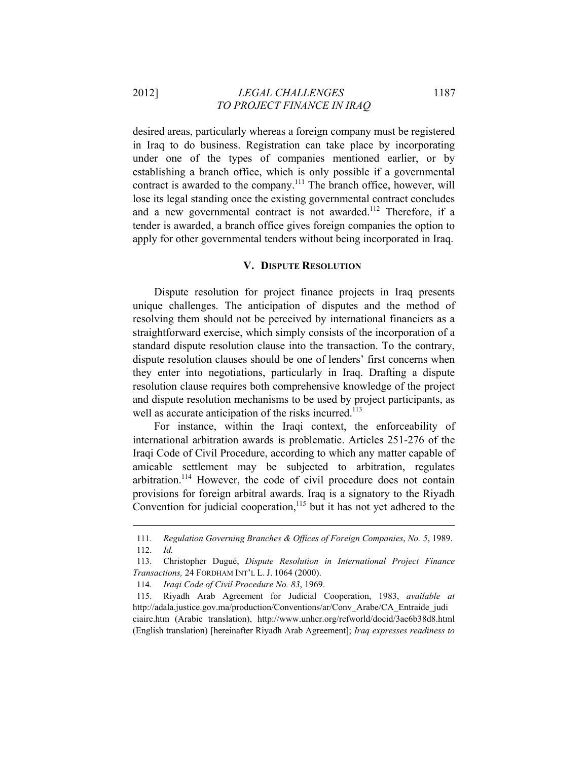2012] *LEGAL CHALLENGES* 1187 *TO PROJECT FINANCE IN IRAQ* 

desired areas, particularly whereas a foreign company must be registered in Iraq to do business. Registration can take place by incorporating under one of the types of companies mentioned earlier, or by establishing a branch office, which is only possible if a governmental contract is awarded to the company.<sup>111</sup> The branch office, however, will lose its legal standing once the existing governmental contract concludes and a new governmental contract is not awarded.<sup>112</sup> Therefore, if a tender is awarded, a branch office gives foreign companies the option to apply for other governmental tenders without being incorporated in Iraq.

#### **V. DISPUTE RESOLUTION**

Dispute resolution for project finance projects in Iraq presents unique challenges. The anticipation of disputes and the method of resolving them should not be perceived by international financiers as a straightforward exercise, which simply consists of the incorporation of a standard dispute resolution clause into the transaction. To the contrary, dispute resolution clauses should be one of lenders' first concerns when they enter into negotiations, particularly in Iraq. Drafting a dispute resolution clause requires both comprehensive knowledge of the project and dispute resolution mechanisms to be used by project participants, as well as accurate anticipation of the risks incurred.<sup>113</sup>

For instance, within the Iraqi context, the enforceability of international arbitration awards is problematic. Articles 251-276 of the Iraqi Code of Civil Procedure, according to which any matter capable of amicable settlement may be subjected to arbitration, regulates arbitration.<sup>114</sup> However, the code of civil procedure does not contain provisions for foreign arbitral awards. Iraq is a signatory to the Riyadh Convention for judicial cooperation, $115$  but it has not yet adhered to the

<sup>111</sup>*. Regulation Governing Branches & Offices of Foreign Companies*, *No. 5*, 1989. 112. *Id.*

<sup>113.</sup> Christopher Dugué, *Dispute Resolution in International Project Finance Transactions,* 24 FORDHAM INT'L L. J. 1064 (2000).

<sup>114</sup>*. Iraqi Code of Civil Procedure No. 83*, 1969.

<sup>115.</sup> Riyadh Arab Agreement for Judicial Cooperation, 1983, *available at* http://adala.justice.gov.ma/production/Conventions/ar/Conv\_Arabe/CA\_Entraide\_judi ciaire.htm (Arabic translation), http://www.unhcr.org/refworld/docid/3ae6b38d8.html (English translation) [hereinafter Riyadh Arab Agreement]; *Iraq expresses readiness to*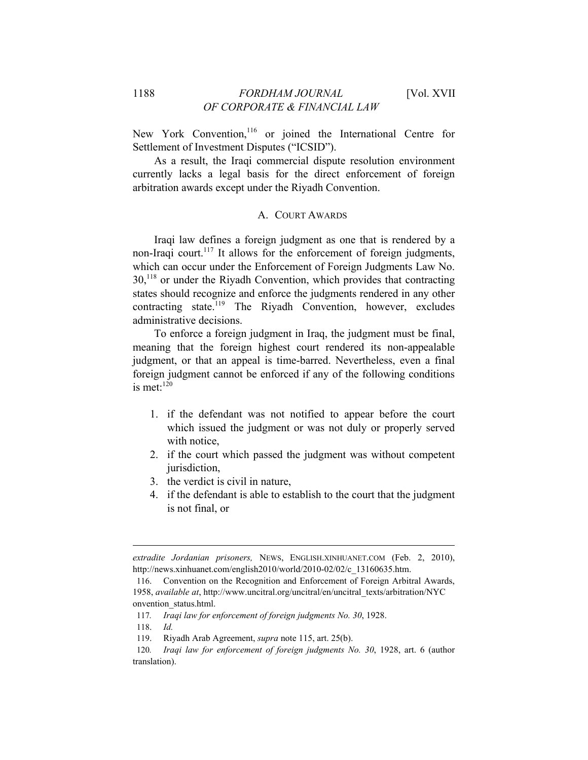New York Convention,<sup>116</sup> or joined the International Centre for Settlement of Investment Disputes ("ICSID").

As a result, the Iraqi commercial dispute resolution environment currently lacks a legal basis for the direct enforcement of foreign arbitration awards except under the Riyadh Convention.

#### A. COURT AWARDS

Iraqi law defines a foreign judgment as one that is rendered by a non-Iraqi court.<sup>117</sup> It allows for the enforcement of foreign judgments, which can occur under the Enforcement of Foreign Judgments Law No. 30,118 or under the Riyadh Convention, which provides that contracting states should recognize and enforce the judgments rendered in any other contracting state.<sup>119</sup> The Riyadh Convention, however, excludes administrative decisions.

To enforce a foreign judgment in Iraq, the judgment must be final, meaning that the foreign highest court rendered its non-appealable judgment, or that an appeal is time-barred. Nevertheless, even a final foreign judgment cannot be enforced if any of the following conditions is met $\cdot$ <sup>120</sup>

- 1. if the defendant was not notified to appear before the court which issued the judgment or was not duly or properly served with notice,
- 2. if the court which passed the judgment was without competent jurisdiction,
- 3. the verdict is civil in nature,
- 4. if the defendant is able to establish to the court that the judgment is not final, or

*extradite Jordanian prisoners,* NEWS, ENGLISH.XINHUANET.COM (Feb. 2, 2010), http://news.xinhuanet.com/english2010/world/2010-02/02/c\_13160635.htm.

<sup>116.</sup> Convention on the Recognition and Enforcement of Foreign Arbitral Awards, 1958, *available at*, http://www.uncitral.org/uncitral/en/uncitral\_texts/arbitration/NYC onvention\_status.html.

<sup>117</sup>*. Iraqi law for enforcement of foreign judgments No. 30*, 1928.

<sup>118.</sup> *Id.*

<sup>119.</sup> Riyadh Arab Agreement, *supra* note 115, art. 25(b).

<sup>120</sup>*. Iraqi law for enforcement of foreign judgments No. 30*, 1928, art. 6 (author translation).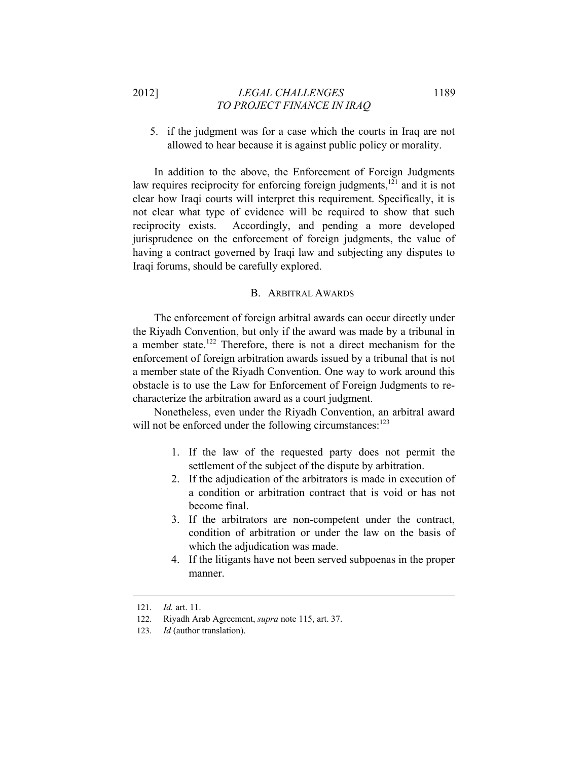# 2012] *LEGAL CHALLENGES* 1189 *TO PROJECT FINANCE IN IRAQ*

5. if the judgment was for a case which the courts in Iraq are not allowed to hear because it is against public policy or morality.

In addition to the above, the Enforcement of Foreign Judgments law requires reciprocity for enforcing foreign judgments,<sup>121</sup> and it is not clear how Iraqi courts will interpret this requirement. Specifically, it is not clear what type of evidence will be required to show that such reciprocity exists. Accordingly, and pending a more developed jurisprudence on the enforcement of foreign judgments, the value of having a contract governed by Iraqi law and subjecting any disputes to Iraqi forums, should be carefully explored.

#### B. ARBITRAL AWARDS

The enforcement of foreign arbitral awards can occur directly under the Riyadh Convention, but only if the award was made by a tribunal in a member state.<sup>122</sup> Therefore, there is not a direct mechanism for the enforcement of foreign arbitration awards issued by a tribunal that is not a member state of the Riyadh Convention. One way to work around this obstacle is to use the Law for Enforcement of Foreign Judgments to recharacterize the arbitration award as a court judgment.

Nonetheless, even under the Riyadh Convention, an arbitral award will not be enforced under the following circumstances:<sup>123</sup>

- 1. If the law of the requested party does not permit the settlement of the subject of the dispute by arbitration.
- 2. If the adjudication of the arbitrators is made in execution of a condition or arbitration contract that is void or has not become final.
- 3. If the arbitrators are non-competent under the contract, condition of arbitration or under the law on the basis of which the adjudication was made.
- 4. If the litigants have not been served subpoenas in the proper manner.

<sup>121.</sup> *Id.* art. 11.

<sup>122.</sup> Riyadh Arab Agreement, *supra* note 115, art. 37.

<sup>123.</sup> *Id* (author translation).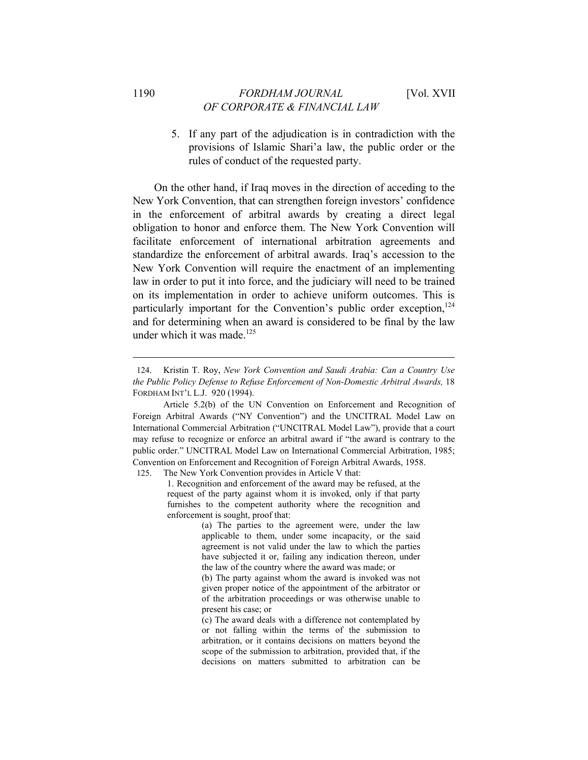5. If any part of the adjudication is in contradiction with the provisions of Islamic Shari'a law, the public order or the rules of conduct of the requested party.

On the other hand, if Iraq moves in the direction of acceding to the New York Convention, that can strengthen foreign investors' confidence in the enforcement of arbitral awards by creating a direct legal obligation to honor and enforce them. The New York Convention will facilitate enforcement of international arbitration agreements and standardize the enforcement of arbitral awards. Iraq's accession to the New York Convention will require the enactment of an implementing law in order to put it into force, and the judiciary will need to be trained on its implementation in order to achieve uniform outcomes. This is particularly important for the Convention's public order exception, $124$ and for determining when an award is considered to be final by the law under which it was made. $125$ 

125. The New York Convention provides in Article V that:

1. Recognition and enforcement of the award may be refused, at the request of the party against whom it is invoked, only if that party furnishes to the competent authority where the recognition and enforcement is sought, proof that:

> (a) The parties to the agreement were, under the law applicable to them, under some incapacity, or the said agreement is not valid under the law to which the parties have subjected it or, failing any indication thereon, under the law of the country where the award was made; or

> (b) The party against whom the award is invoked was not given proper notice of the appointment of the arbitrator or of the arbitration proceedings or was otherwise unable to present his case; or

> (c) The award deals with a difference not contemplated by or not falling within the terms of the submission to arbitration, or it contains decisions on matters beyond the scope of the submission to arbitration, provided that, if the decisions on matters submitted to arbitration can be

<sup>124.</sup> Kristin T. Roy, *New York Convention and Saudi Arabia: Can a Country Use the Public Policy Defense to Refuse Enforcement of Non-Domestic Arbitral Awards,* 18 FORDHAM INT'L L.J. 920 (1994).

Article 5.2(b) of the UN Convention on Enforcement and Recognition of Foreign Arbitral Awards ("NY Convention") and the UNCITRAL Model Law on International Commercial Arbitration ("UNCITRAL Model Law"), provide that a court may refuse to recognize or enforce an arbitral award if "the award is contrary to the public order." UNCITRAL Model Law on International Commercial Arbitration, 1985; Convention on Enforcement and Recognition of Foreign Arbitral Awards, 1958.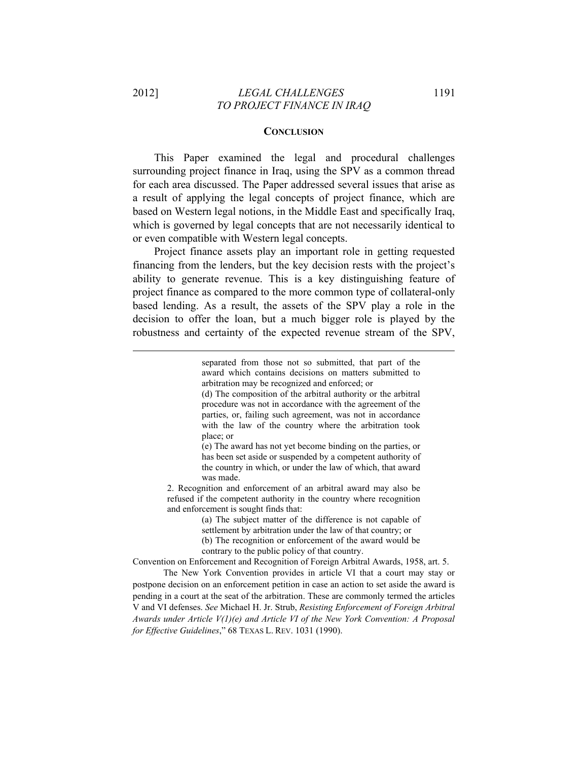#### **CONCLUSION**

This Paper examined the legal and procedural challenges surrounding project finance in Iraq, using the SPV as a common thread for each area discussed. The Paper addressed several issues that arise as a result of applying the legal concepts of project finance, which are based on Western legal notions, in the Middle East and specifically Iraq, which is governed by legal concepts that are not necessarily identical to or even compatible with Western legal concepts.

Project finance assets play an important role in getting requested financing from the lenders, but the key decision rests with the project's ability to generate revenue. This is a key distinguishing feature of project finance as compared to the more common type of collateral-only based lending. As a result, the assets of the SPV play a role in the decision to offer the loan, but a much bigger role is played by the robustness and certainty of the expected revenue stream of the SPV,

> separated from those not so submitted, that part of the award which contains decisions on matters submitted to arbitration may be recognized and enforced; or

> (d) The composition of the arbitral authority or the arbitral procedure was not in accordance with the agreement of the parties, or, failing such agreement, was not in accordance with the law of the country where the arbitration took place; or

> (e) The award has not yet become binding on the parties, or has been set aside or suspended by a competent authority of the country in which, or under the law of which, that award was made.

2. Recognition and enforcement of an arbitral award may also be refused if the competent authority in the country where recognition and enforcement is sought finds that:

> (a) The subject matter of the difference is not capable of settlement by arbitration under the law of that country; or

> (b) The recognition or enforcement of the award would be

contrary to the public policy of that country.

Convention on Enforcement and Recognition of Foreign Arbitral Awards, 1958, art. 5.

 The New York Convention provides in article VI that a court may stay or postpone decision on an enforcement petition in case an action to set aside the award is pending in a court at the seat of the arbitration. These are commonly termed the articles V and VI defenses. *See* Michael H. Jr. Strub, *Resisting Enforcement of Foreign Arbitral Awards under Article V(1)(e) and Article VI of the New York Convention: A Proposal for Effective Guidelines*," 68 TEXAS L. REV. 1031 (1990).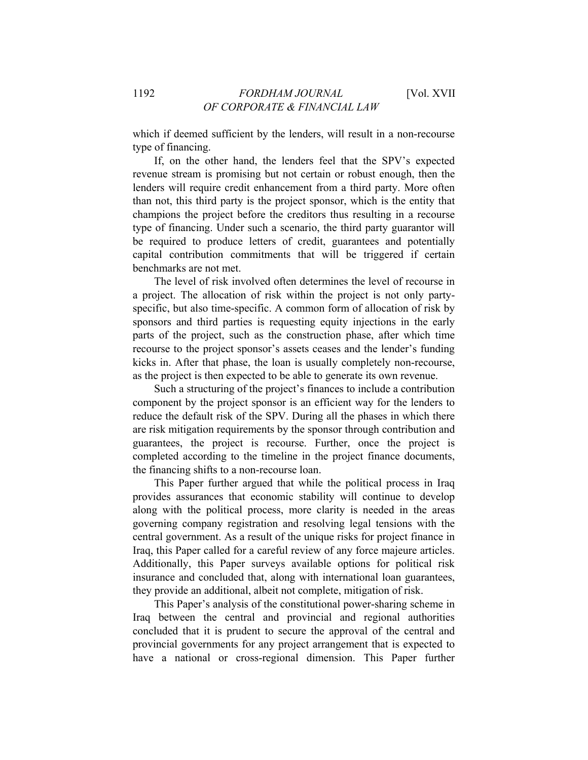which if deemed sufficient by the lenders, will result in a non-recourse type of financing.

If, on the other hand, the lenders feel that the SPV's expected revenue stream is promising but not certain or robust enough, then the lenders will require credit enhancement from a third party. More often than not, this third party is the project sponsor, which is the entity that champions the project before the creditors thus resulting in a recourse type of financing. Under such a scenario, the third party guarantor will be required to produce letters of credit, guarantees and potentially capital contribution commitments that will be triggered if certain benchmarks are not met.

The level of risk involved often determines the level of recourse in a project. The allocation of risk within the project is not only partyspecific, but also time-specific. A common form of allocation of risk by sponsors and third parties is requesting equity injections in the early parts of the project, such as the construction phase, after which time recourse to the project sponsor's assets ceases and the lender's funding kicks in. After that phase, the loan is usually completely non-recourse, as the project is then expected to be able to generate its own revenue.

Such a structuring of the project's finances to include a contribution component by the project sponsor is an efficient way for the lenders to reduce the default risk of the SPV. During all the phases in which there are risk mitigation requirements by the sponsor through contribution and guarantees, the project is recourse. Further, once the project is completed according to the timeline in the project finance documents, the financing shifts to a non-recourse loan.

This Paper further argued that while the political process in Iraq provides assurances that economic stability will continue to develop along with the political process, more clarity is needed in the areas governing company registration and resolving legal tensions with the central government. As a result of the unique risks for project finance in Iraq, this Paper called for a careful review of any force majeure articles. Additionally, this Paper surveys available options for political risk insurance and concluded that, along with international loan guarantees, they provide an additional, albeit not complete, mitigation of risk.

This Paper's analysis of the constitutional power-sharing scheme in Iraq between the central and provincial and regional authorities concluded that it is prudent to secure the approval of the central and provincial governments for any project arrangement that is expected to have a national or cross-regional dimension. This Paper further